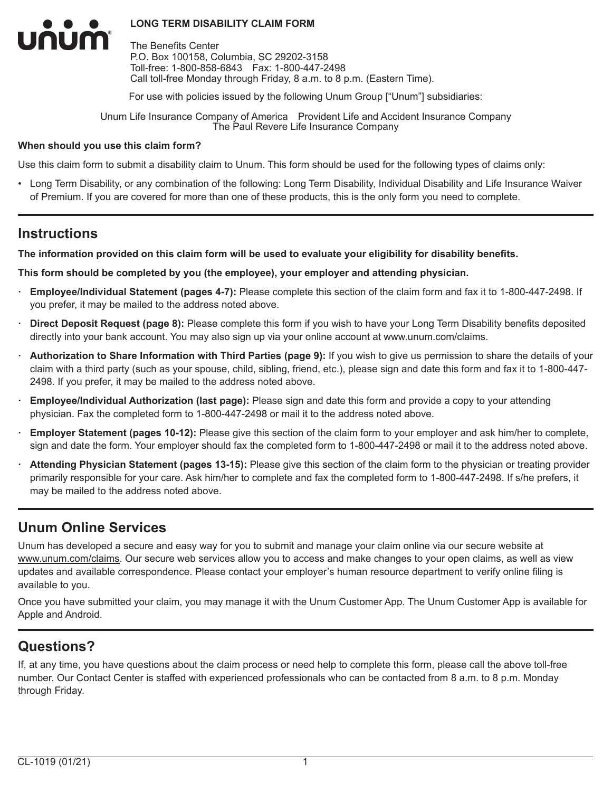The Benefits Center P.O. Box 100158, Columbia, SC 29202-3158 Toll-free: 1-800-858-6843 Fax: 1-800-447-2498 Call toll-free Monday through Friday, 8 a.m. to 8 p.m. (Eastern Time).

For use with policies issued by the following Unum Group ["Unum"] subsidiaries:

Unum Life Insurance Company of America Provident Life and Accident Insurance Company The Paul Revere Life Insurance Company

### **When should you use this claim form?**

Use this claim form to submit a disability claim to Unum. This form should be used for the following types of claims only:

• Long Term Disability, or any combination of the following: Long Term Disability, Individual Disability and Life Insurance Waiver of Premium. If you are covered for more than one of these products, this is the only form you need to complete.

# **Instructions**

num

### **The information provided on this claim form will be used to evaluate your eligibility for disability benefits.**

**This form should be completed by you (the employee), your employer and attending physician.**

- **· Employee/Individual Statement (pages 4-7):** Please complete this section of the claim form and fax it to 1-800-447-2498. If you prefer, it may be mailed to the address noted above.
- **· Direct Deposit Request (page 8):** Please complete this form if you wish to have your Long Term Disability benefits deposited directly into your bank account. You may also sign up via your online account at www.unum.com/claims.
- **· Authorization to Share Information with Third Parties (page 9):** If you wish to give us permission to share the details of your claim with a third party (such as your spouse, child, sibling, friend, etc.), please sign and date this form and fax it to 1-800-447- 2498. If you prefer, it may be mailed to the address noted above.
- **· Employee/Individual Authorization (last page):** Please sign and date this form and provide a copy to your attending physician. Fax the completed form to 1-800-447-2498 or mail it to the address noted above.
- **· Employer Statement (pages 10-12):** Please give this section of the claim form to your employer and ask him/her to complete, sign and date the form. Your employer should fax the completed form to 1-800-447-2498 or mail it to the address noted above.
- **· Attending Physician Statement (pages 13-15):** Please give this section of the claim form to the physician or treating provider primarily responsible for your care. Ask him/her to complete and fax the completed form to 1-800-447-2498. If s/he prefers, it may be mailed to the address noted above.

# **Unum Online Services**

Unum has developed a secure and easy way for you to submit and manage your claim online via our secure website at www.unum.com/claims. Our secure web services allow you to access and make changes to your open claims, as well as view updates and available correspondence. Please contact your employer's human resource department to verify online filing is available to you.

Once you have submitted your claim, you may manage it with the Unum Customer App. The Unum Customer App is available for Apple and Android.

# **Questions?**

If, at any time, you have questions about the claim process or need help to complete this form, please call the above toll-free number. Our Contact Center is staffed with experienced professionals who can be contacted from 8 a.m. to 8 p.m. Monday through Friday.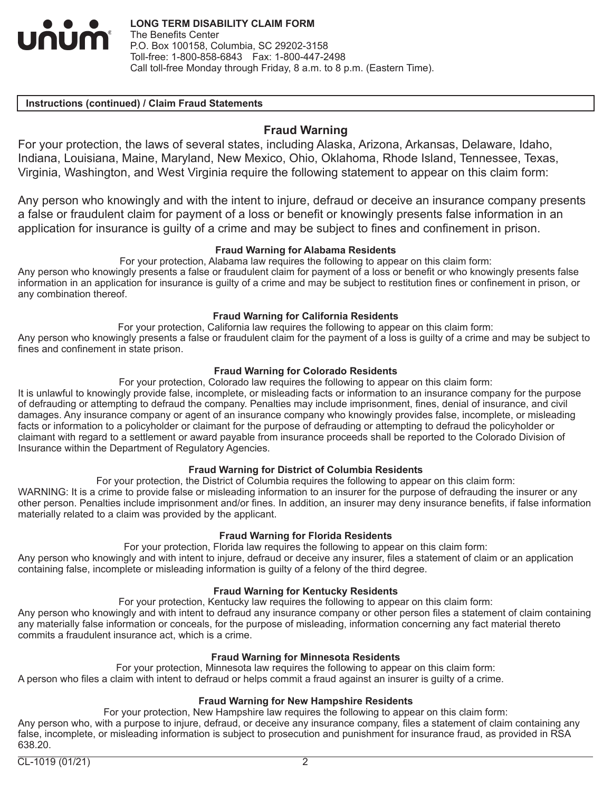UNUM

# **Instructions (continued) / Claim Fraud Statements**

# **Fraud Warning**

For your protection, the laws of several states, including Alaska, Arizona, Arkansas, Delaware, Idaho, Indiana, Louisiana, Maine, Maryland, New Mexico, Ohio, Oklahoma, Rhode Island, Tennessee, Texas, Virginia, Washington, and West Virginia require the following statement to appear on this claim form:

Any person who knowingly and with the intent to injure, defraud or deceive an insurance company presents a false or fraudulent claim for payment of a loss or benefit or knowingly presents false information in an application for insurance is guilty of a crime and may be subject to fines and confinement in prison.

# **Fraud Warning for Alabama Residents**

For your protection, Alabama law requires the following to appear on this claim form:

Any person who knowingly presents a false or fraudulent claim for payment of a loss or benefit or who knowingly presents false information in an application for insurance is guilty of a crime and may be subject to restitution fines or confinement in prison, or any combination thereof.

### **Fraud Warning for California Residents**

For your protection, California law requires the following to appear on this claim form:

Any person who knowingly presents a false or fraudulent claim for the payment of a loss is guilty of a crime and may be subject to fines and confinement in state prison.

# **Fraud Warning for Colorado Residents**

For your protection, Colorado law requires the following to appear on this claim form:

It is unlawful to knowingly provide false, incomplete, or misleading facts or information to an insurance company for the purpose of defrauding or attempting to defraud the company. Penalties may include imprisonment, fines, denial of insurance, and civil damages. Any insurance company or agent of an insurance company who knowingly provides false, incomplete, or misleading facts or information to a policyholder or claimant for the purpose of defrauding or attempting to defraud the policyholder or claimant with regard to a settlement or award payable from insurance proceeds shall be reported to the Colorado Division of Insurance within the Department of Regulatory Agencies.

### **Fraud Warning for District of Columbia Residents**

For your protection, the District of Columbia requires the following to appear on this claim form:

WARNING: It is a crime to provide false or misleading information to an insurer for the purpose of defrauding the insurer or any other person. Penalties include imprisonment and/or fines. In addition, an insurer may deny insurance benefits, if false information materially related to a claim was provided by the applicant.

### **Fraud Warning for Florida Residents**

For your protection, Florida law requires the following to appear on this claim form:

Any person who knowingly and with intent to injure, defraud or deceive any insurer, files a statement of claim or an application containing false, incomplete or misleading information is guilty of a felony of the third degree.

### **Fraud Warning for Kentucky Residents**

For your protection, Kentucky law requires the following to appear on this claim form:

Any person who knowingly and with intent to defraud any insurance company or other person files a statement of claim containing any materially false information or conceals, for the purpose of misleading, information concerning any fact material thereto commits a fraudulent insurance act, which is a crime.

# **Fraud Warning for Minnesota Residents**

For your protection, Minnesota law requires the following to appear on this claim form: A person who files a claim with intent to defraud or helps commit a fraud against an insurer is guilty of a crime.

# **Fraud Warning for New Hampshire Residents**

For your protection, New Hampshire law requires the following to appear on this claim form: Any person who, with a purpose to injure, defraud, or deceive any insurance company, files a statement of claim containing any false, incomplete, or misleading information is subject to prosecution and punishment for insurance fraud, as provided in RSA 638.20.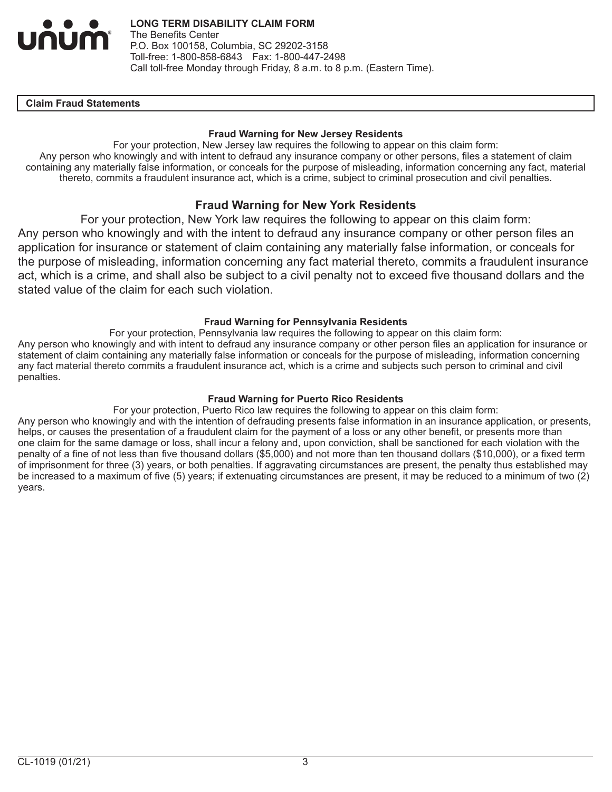

### **IClaim Fraud Statements**

### **Fraud Warning for New Jersey Residents**

For your protection, New Jersey law requires the following to appear on this claim form: Any person who knowingly and with intent to defraud any insurance company or other persons, files a statement of claim containing any materially false information, or conceals for the purpose of misleading, information concerning any fact, material thereto, commits a fraudulent insurance act, which is a crime, subject to criminal prosecution and civil penalties.

# **Fraud Warning for New York Residents**

For your protection, New York law requires the following to appear on this claim form: Any person who knowingly and with the intent to defraud any insurance company or other person files an application for insurance or statement of claim containing any materially false information, or conceals for the purpose of misleading, information concerning any fact material thereto, commits a fraudulent insurance act, which is a crime, and shall also be subject to a civil penalty not to exceed five thousand dollars and the stated value of the claim for each such violation.

### **Fraud Warning for Pennsylvania Residents**

For your protection, Pennsylvania law requires the following to appear on this claim form: Any person who knowingly and with intent to defraud any insurance company or other person files an application for insurance or statement of claim containing any materially false information or conceals for the purpose of misleading, information concerning any fact material thereto commits a fraudulent insurance act, which is a crime and subjects such person to criminal and civil penalties.

### **Fraud Warning for Puerto Rico Residents**

For your protection, Puerto Rico law requires the following to appear on this claim form: Any person who knowingly and with the intention of defrauding presents false information in an insurance application, or presents, helps, or causes the presentation of a fraudulent claim for the payment of a loss or any other benefit, or presents more than one claim for the same damage or loss, shall incur a felony and, upon conviction, shall be sanctioned for each violation with the penalty of a fine of not less than five thousand dollars (\$5,000) and not more than ten thousand dollars (\$10,000), or a fixed term of imprisonment for three (3) years, or both penalties. If aggravating circumstances are present, the penalty thus established may be increased to a maximum of five (5) years; if extenuating circumstances are present, it may be reduced to a minimum of two (2) years.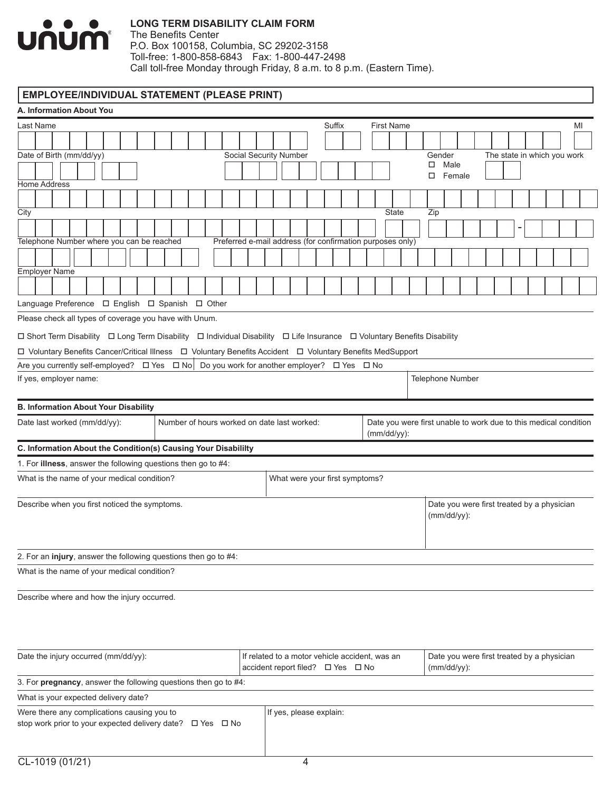

The Benefits Center P.O. Box 100158, Columbia, SC 29202-3158 Toll-free: 1-800-858-6843 Fax: 1-800-447-2498 Call toll-free Monday through Friday, 8 a.m. to 8 p.m. (Eastern Time).

# **EMPLOYEE/INDIVIDUAL STATEMENT (PLEASE PRINT)**

| A. Information About You                                                                                                |                                                           |                                                                                 |  |  |  |  |  |  |  |  |  |  |
|-------------------------------------------------------------------------------------------------------------------------|-----------------------------------------------------------|---------------------------------------------------------------------------------|--|--|--|--|--|--|--|--|--|--|
| Last Name                                                                                                               | Suffix                                                    | <b>First Name</b><br>MI                                                         |  |  |  |  |  |  |  |  |  |  |
|                                                                                                                         |                                                           |                                                                                 |  |  |  |  |  |  |  |  |  |  |
| Date of Birth (mm/dd/yy)                                                                                                | <b>Social Security Number</b>                             | Gender<br>The state in which you work                                           |  |  |  |  |  |  |  |  |  |  |
|                                                                                                                         |                                                           | Male<br>□<br>Female<br>□                                                        |  |  |  |  |  |  |  |  |  |  |
| <b>Home Address</b>                                                                                                     |                                                           |                                                                                 |  |  |  |  |  |  |  |  |  |  |
|                                                                                                                         |                                                           |                                                                                 |  |  |  |  |  |  |  |  |  |  |
| City                                                                                                                    |                                                           | <b>State</b><br>Zip                                                             |  |  |  |  |  |  |  |  |  |  |
|                                                                                                                         |                                                           |                                                                                 |  |  |  |  |  |  |  |  |  |  |
| Telephone Number where you can be reached                                                                               | Preferred e-mail address (for confirmation purposes only) |                                                                                 |  |  |  |  |  |  |  |  |  |  |
|                                                                                                                         |                                                           |                                                                                 |  |  |  |  |  |  |  |  |  |  |
| <b>Employer Name</b>                                                                                                    |                                                           |                                                                                 |  |  |  |  |  |  |  |  |  |  |
|                                                                                                                         |                                                           |                                                                                 |  |  |  |  |  |  |  |  |  |  |
| Language Preference □ English □ Spanish □ Other                                                                         |                                                           |                                                                                 |  |  |  |  |  |  |  |  |  |  |
| Please check all types of coverage you have with Unum.                                                                  |                                                           |                                                                                 |  |  |  |  |  |  |  |  |  |  |
| □ Short Term Disability □ Long Term Disability □ Individual Disability □ Life Insurance □ Voluntary Benefits Disability |                                                           |                                                                                 |  |  |  |  |  |  |  |  |  |  |
| □ Voluntary Benefits Cancer/Critical Illness □ Voluntary Benefits Accident □ Voluntary Benefits MedSupport              |                                                           |                                                                                 |  |  |  |  |  |  |  |  |  |  |
| Are you currently self-employed? $\Box$ Yes $\Box$ No $\Box$ Do you work for another employer? $\Box$ Yes $\Box$ No     |                                                           |                                                                                 |  |  |  |  |  |  |  |  |  |  |
| If yes, employer name:                                                                                                  |                                                           | Telephone Number                                                                |  |  |  |  |  |  |  |  |  |  |
|                                                                                                                         |                                                           |                                                                                 |  |  |  |  |  |  |  |  |  |  |
| <b>B. Information About Your Disability</b><br>Number of hours worked on date last worked:                              |                                                           |                                                                                 |  |  |  |  |  |  |  |  |  |  |
| Date last worked (mm/dd/yy):                                                                                            |                                                           | Date you were first unable to work due to this medical condition<br>(mm/dd/yy): |  |  |  |  |  |  |  |  |  |  |
| C. Information About the Condition(s) Causing Your Disabililty                                                          |                                                           |                                                                                 |  |  |  |  |  |  |  |  |  |  |
| 1. For illness, answer the following questions then go to #4:                                                           |                                                           |                                                                                 |  |  |  |  |  |  |  |  |  |  |
| What is the name of your medical condition?                                                                             | What were your first symptoms?                            |                                                                                 |  |  |  |  |  |  |  |  |  |  |
| Describe when you first noticed the symptoms.                                                                           |                                                           | Date you were first treated by a physician                                      |  |  |  |  |  |  |  |  |  |  |
|                                                                                                                         |                                                           | $(mm/dd/yy)$ :                                                                  |  |  |  |  |  |  |  |  |  |  |
|                                                                                                                         |                                                           |                                                                                 |  |  |  |  |  |  |  |  |  |  |
|                                                                                                                         |                                                           |                                                                                 |  |  |  |  |  |  |  |  |  |  |
| 2. For an injury, answer the following questions then go to #4:                                                         |                                                           |                                                                                 |  |  |  |  |  |  |  |  |  |  |
| What is the name of your medical condition?                                                                             |                                                           |                                                                                 |  |  |  |  |  |  |  |  |  |  |
| Describe where and how the injury occurred.                                                                             |                                                           |                                                                                 |  |  |  |  |  |  |  |  |  |  |
|                                                                                                                         |                                                           |                                                                                 |  |  |  |  |  |  |  |  |  |  |
|                                                                                                                         |                                                           |                                                                                 |  |  |  |  |  |  |  |  |  |  |
|                                                                                                                         |                                                           |                                                                                 |  |  |  |  |  |  |  |  |  |  |
| Date the injury occurred (mm/dd/yy):                                                                                    | If related to a motor vehicle accident, was an            | Date you were first treated by a physician                                      |  |  |  |  |  |  |  |  |  |  |
|                                                                                                                         | accident report filed? □ Yes □ No                         | $(mm/dd/yy)$ :                                                                  |  |  |  |  |  |  |  |  |  |  |
| 3. For pregnancy, answer the following questions then go to #4:                                                         |                                                           |                                                                                 |  |  |  |  |  |  |  |  |  |  |
| What is your expected delivery date?                                                                                    |                                                           |                                                                                 |  |  |  |  |  |  |  |  |  |  |
| Were there any complications causing you to                                                                             | If yes, please explain:                                   |                                                                                 |  |  |  |  |  |  |  |  |  |  |
| stop work prior to your expected delivery date? □ Yes □ No                                                              |                                                           |                                                                                 |  |  |  |  |  |  |  |  |  |  |
|                                                                                                                         |                                                           |                                                                                 |  |  |  |  |  |  |  |  |  |  |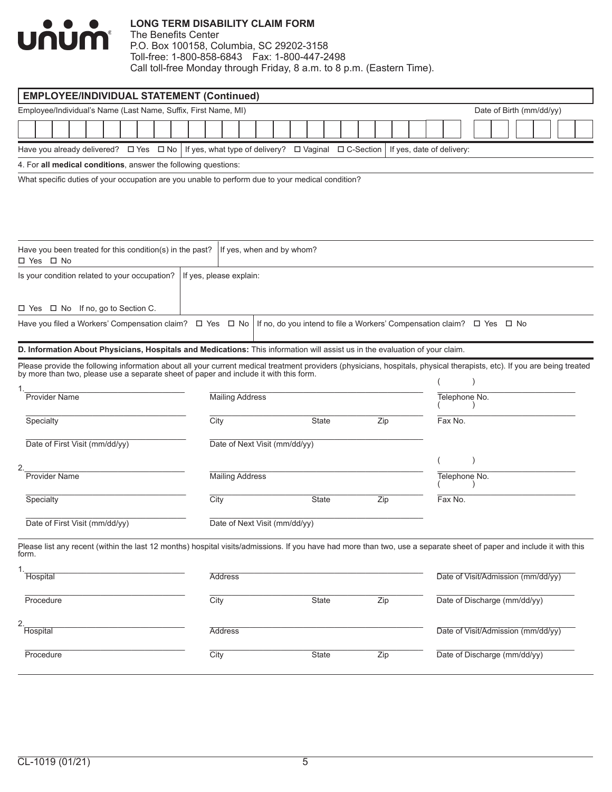

| <b>EMPLOYEE/INDIVIDUAL STATEMENT (Continued)</b>                                                                                                                                                                                  |                         |                        |                               |                                                                        |     |  |                           |                                    |  |  |  |
|-----------------------------------------------------------------------------------------------------------------------------------------------------------------------------------------------------------------------------------|-------------------------|------------------------|-------------------------------|------------------------------------------------------------------------|-----|--|---------------------------|------------------------------------|--|--|--|
| Employee/Individual's Name (Last Name, Suffix, First Name, MI)                                                                                                                                                                    |                         |                        |                               |                                                                        |     |  |                           | Date of Birth (mm/dd/yy)           |  |  |  |
|                                                                                                                                                                                                                                   |                         |                        |                               |                                                                        |     |  |                           |                                    |  |  |  |
| Have you already delivered? $\Box$ Yes $\Box$ No   If yes, what type of delivery? $\Box$ Vaginal $\Box$ C-Section                                                                                                                 |                         |                        |                               |                                                                        |     |  | If yes, date of delivery: |                                    |  |  |  |
| 4. For all medical conditions, answer the following questions:                                                                                                                                                                    |                         |                        |                               |                                                                        |     |  |                           |                                    |  |  |  |
| What specific duties of your occupation are you unable to perform due to your medical condition?                                                                                                                                  |                         |                        |                               |                                                                        |     |  |                           |                                    |  |  |  |
| Have you been treated for this condition(s) in the past?<br>□ Yes □ No                                                                                                                                                            |                         |                        | If yes, when and by whom?     |                                                                        |     |  |                           |                                    |  |  |  |
| Is your condition related to your occupation?                                                                                                                                                                                     | If yes, please explain: |                        |                               |                                                                        |     |  |                           |                                    |  |  |  |
| □ Yes □ No If no, go to Section C.                                                                                                                                                                                                |                         |                        |                               |                                                                        |     |  |                           |                                    |  |  |  |
| Have you filed a Workers' Compensation claim? □ Yes □ No                                                                                                                                                                          |                         |                        |                               | If no, do you intend to file a Workers' Compensation claim? □ Yes □ No |     |  |                           |                                    |  |  |  |
| D. Information About Physicians, Hospitals and Medications: This information will assist us in the evaluation of your claim.                                                                                                      |                         |                        |                               |                                                                        |     |  |                           |                                    |  |  |  |
| Please provide the following information about all your current medical treatment providers (physicians, hospitals, physical therapists, etc). If you are being treated<br>by more than two, please use a separate sheet of paper |                         |                        |                               |                                                                        |     |  |                           |                                    |  |  |  |
| <b>Provider Name</b>                                                                                                                                                                                                              |                         | <b>Mailing Address</b> |                               |                                                                        |     |  | Telephone No.             |                                    |  |  |  |
| Specialty                                                                                                                                                                                                                         | City                    |                        |                               | State                                                                  | Zip |  | Fax No.                   |                                    |  |  |  |
| Date of First Visit (mm/dd/yy)                                                                                                                                                                                                    |                         |                        | Date of Next Visit (mm/dd/yy) |                                                                        |     |  |                           |                                    |  |  |  |
| 2.                                                                                                                                                                                                                                |                         |                        |                               |                                                                        |     |  |                           |                                    |  |  |  |
| <b>Provider Name</b>                                                                                                                                                                                                              |                         | <b>Mailing Address</b> |                               |                                                                        |     |  | Telephone No.             |                                    |  |  |  |
| Specialty                                                                                                                                                                                                                         | City                    |                        |                               | <b>State</b>                                                           | Zip |  | Fax No.                   |                                    |  |  |  |
| Date of First Visit (mm/dd/yy)                                                                                                                                                                                                    |                         |                        | Date of Next Visit (mm/dd/yy) |                                                                        |     |  |                           |                                    |  |  |  |
| Please list any recent (within the last 12 months) hospital visits/admissions. If you have had more than two, use a separate sheet of paper and include it with this<br>form.                                                     |                         |                        |                               |                                                                        |     |  |                           |                                    |  |  |  |
| 1.<br>Hospital                                                                                                                                                                                                                    |                         | <b>Address</b>         |                               |                                                                        |     |  |                           | Date of Visit/Admission (mm/dd/yy) |  |  |  |
| Procedure                                                                                                                                                                                                                         | City                    |                        |                               | State                                                                  | Zip |  |                           | Date of Discharge (mm/dd/yy)       |  |  |  |
| 2.<br>Hospital                                                                                                                                                                                                                    |                         | <b>Address</b>         |                               |                                                                        |     |  |                           | Date of Visit/Admission (mm/dd/yy) |  |  |  |
| Procedure                                                                                                                                                                                                                         | City                    |                        |                               | <b>State</b>                                                           | Zip |  |                           | Date of Discharge (mm/dd/yy)       |  |  |  |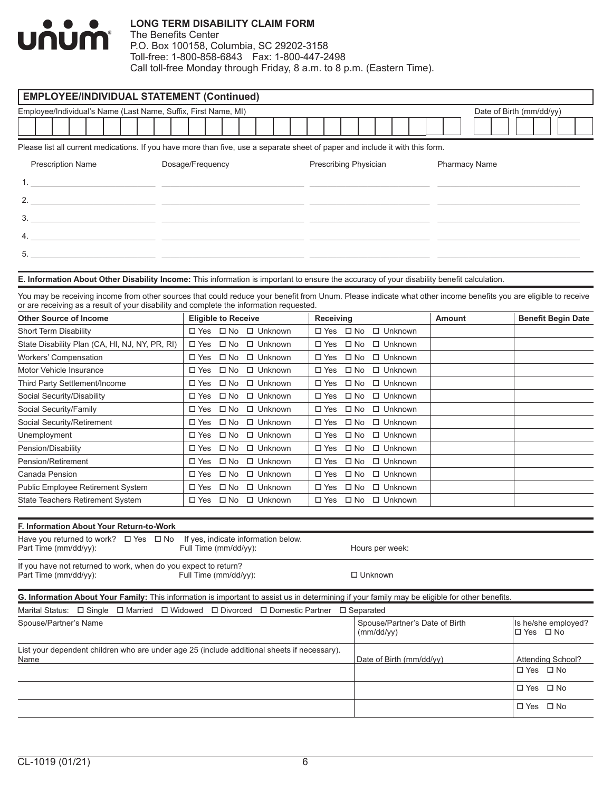

| <b>EMPLOYEE/INDIVIDUAL STATEMENT (Continued)</b>                                                                                                                                                                                                           |                            |              |                |                       |              |                |                          |  |                                |                      |                          |                   |                           |
|------------------------------------------------------------------------------------------------------------------------------------------------------------------------------------------------------------------------------------------------------------|----------------------------|--------------|----------------|-----------------------|--------------|----------------|--------------------------|--|--------------------------------|----------------------|--------------------------|-------------------|---------------------------|
| Employee/Individual's Name (Last Name, Suffix, First Name, MI)                                                                                                                                                                                             |                            |              |                |                       |              |                |                          |  |                                |                      | Date of Birth (mm/dd/yy) |                   |                           |
|                                                                                                                                                                                                                                                            |                            |              |                |                       |              |                |                          |  |                                |                      |                          |                   |                           |
| Please list all current medications. If you have more than five, use a separate sheet of paper and include it with this form.                                                                                                                              |                            |              |                |                       |              |                |                          |  |                                |                      |                          |                   |                           |
|                                                                                                                                                                                                                                                            |                            |              |                |                       |              |                |                          |  |                                |                      |                          |                   |                           |
| <b>Prescription Name</b>                                                                                                                                                                                                                                   | Dosage/Frequency           |              |                | Prescribing Physician |              |                |                          |  |                                | <b>Pharmacy Name</b> |                          |                   |                           |
|                                                                                                                                                                                                                                                            |                            |              |                |                       |              |                |                          |  |                                |                      |                          |                   |                           |
|                                                                                                                                                                                                                                                            |                            |              |                |                       |              |                |                          |  |                                |                      |                          |                   |                           |
|                                                                                                                                                                                                                                                            |                            |              |                |                       |              |                |                          |  |                                |                      |                          |                   |                           |
|                                                                                                                                                                                                                                                            |                            |              |                |                       |              |                |                          |  |                                |                      |                          |                   |                           |
|                                                                                                                                                                                                                                                            |                            |              |                |                       |              |                |                          |  |                                |                      |                          |                   |                           |
|                                                                                                                                                                                                                                                            |                            |              |                |                       |              |                |                          |  |                                |                      |                          |                   |                           |
| E. Information About Other Disability Income: This information is important to ensure the accuracy of your disability benefit calculation.                                                                                                                 |                            |              |                |                       |              |                |                          |  |                                |                      |                          |                   |                           |
|                                                                                                                                                                                                                                                            |                            |              |                |                       |              |                |                          |  |                                |                      |                          |                   |                           |
| You may be receiving income from other sources that could reduce your benefit from Unum. Please indicate what other income benefits you are eligible to receive<br>or are receiving as a result of your disability and complete the information requested. |                            |              |                |                       |              |                |                          |  |                                |                      |                          |                   |                           |
| <b>Other Source of Income</b>                                                                                                                                                                                                                              | <b>Eligible to Receive</b> |              |                | Receiving             |              |                |                          |  | <b>Amount</b>                  |                      |                          |                   | <b>Benefit Begin Date</b> |
| <b>Short Term Disability</b>                                                                                                                                                                                                                               | □ Yes □ No                 |              | $\Box$ Unknown | □ Yes □ No            |              |                | $\Box$ Unknown           |  |                                |                      |                          |                   |                           |
| State Disability Plan (CA, HI, NJ, NY, PR, RI)                                                                                                                                                                                                             | $\Box$ Yes $\Box$ No       |              | $\Box$ Unknown | $\square$ Yes         | $\square$ No |                | $\Box$ Unknown           |  |                                |                      |                          |                   |                           |
| <b>Workers' Compensation</b>                                                                                                                                                                                                                               | $\square$ Yes              | $\square$ No | $\Box$ Unknown | $\square$ Yes         | $\square$ No |                | $\Box$ Unknown           |  |                                |                      |                          |                   |                           |
| Motor Vehicle Insurance                                                                                                                                                                                                                                    | $\square$ Yes              | $\square$ No | $\Box$ Unknown | $\square$ Yes         | $\square$ No |                | $\Box$ Unknown           |  |                                |                      |                          |                   |                           |
| Third Party Settlement/Income                                                                                                                                                                                                                              | $\square$ Yes              | $\square$ No | □ Unknown      | $\square$ Yes         | $\square$ No |                | □ Unknown                |  |                                |                      |                          |                   |                           |
| Social Security/Disability                                                                                                                                                                                                                                 | $\square$ Yes              | $\square$ No | $\Box$ Unknown | $\square$ Yes         | $\square$ No |                | □ Unknown                |  |                                |                      |                          |                   |                           |
| Social Security/Family                                                                                                                                                                                                                                     | $\square$ Yes              | $\square$ No | $\Box$ Unknown | $\square$ Yes         | $\square$ No |                | $\Box$ Unknown           |  |                                |                      |                          |                   |                           |
| Social Security/Retirement                                                                                                                                                                                                                                 | $\square$ Yes              | $\square$ No | $\Box$ Unknown | $\square$ Yes         | $\square$ No |                | □ Unknown                |  |                                |                      |                          |                   |                           |
| Unemployment                                                                                                                                                                                                                                               | $\square$ Yes              | $\square$ No | $\Box$ Unknown | $\square$ Yes         | $\square$ No |                | $\Box$ Unknown           |  |                                |                      |                          |                   |                           |
| Pension/Disability                                                                                                                                                                                                                                         | $\square$ Yes              | $\square$ No | $\Box$ Unknown | $\Box$ Yes            | $\square$ No |                | $\Box$ Unknown           |  |                                |                      |                          |                   |                           |
| Pension/Retirement                                                                                                                                                                                                                                         | $\square$ Yes              | $\square$ No | $\Box$ Unknown | $\square$ Yes         | $\square$ No |                | □ Unknown                |  |                                |                      |                          |                   |                           |
| Canada Pension                                                                                                                                                                                                                                             | $\square$ Yes              | $\square$ No | $\Box$ Unknown | $\square$ Yes         | $\square$ No |                | $\Box$ Unknown           |  |                                |                      |                          |                   |                           |
| Public Employee Retirement System                                                                                                                                                                                                                          | $\square$ Yes              | $\square$ No | $\Box$ Unknown | $\square$ Yes         | $\square$ No |                | $\Box$ Unknown           |  |                                |                      |                          |                   |                           |
| <b>State Teachers Retirement System</b>                                                                                                                                                                                                                    | □ Yes                      | $\square$ No | □ Unknown      | $\square$ Yes         | $\square$ No |                | □ Unknown                |  |                                |                      |                          |                   |                           |
| F. Information About Your Return-to-Work                                                                                                                                                                                                                   |                            |              |                |                       |              |                |                          |  |                                |                      |                          |                   |                           |
| Have you returned to work? $\Box$ Yes $\Box$ No If yes, indicate information below.                                                                                                                                                                        |                            |              |                |                       |              |                |                          |  |                                |                      |                          |                   |                           |
| Part Time (mm/dd/yy):                                                                                                                                                                                                                                      | Full Time (mm/dd/yy):      |              |                |                       |              |                | Hours per week:          |  |                                |                      |                          |                   |                           |
| If you have not returned to work, when do you expect to return?                                                                                                                                                                                            |                            |              |                |                       |              |                |                          |  |                                |                      |                          |                   |                           |
| Part Time (mm/dd/yy):                                                                                                                                                                                                                                      | Full Time (mm/dd/yy):      |              |                |                       |              | $\Box$ Unknown |                          |  |                                |                      |                          |                   |                           |
| G. Information About Your Family: This information is important to assist us in determining if your family may be eligible for other benefits.                                                                                                             |                            |              |                |                       |              |                |                          |  |                                |                      |                          |                   |                           |
| Marital Status: $\Box$ Single $\Box$ Married $\Box$ Widowed $\Box$ Divorced $\Box$ Domestic Partner                                                                                                                                                        |                            |              |                |                       | □ Separated  |                |                          |  |                                |                      |                          |                   |                           |
| Spouse/Partner's Name                                                                                                                                                                                                                                      |                            |              |                |                       |              |                |                          |  | Spouse/Partner's Date of Birth |                      |                          |                   | Is he/she employed?       |
|                                                                                                                                                                                                                                                            |                            |              |                |                       |              |                | (mm/dd/yy)               |  |                                |                      | □ Yes □ No               |                   |                           |
| List your dependent children who are under age 25 (include additional sheets if necessary).                                                                                                                                                                |                            |              |                |                       |              |                |                          |  |                                |                      |                          |                   |                           |
| Name                                                                                                                                                                                                                                                       |                            |              |                |                       |              |                | Date of Birth (mm/dd/yy) |  |                                |                      |                          | Attending School? |                           |
|                                                                                                                                                                                                                                                            |                            |              |                |                       |              |                |                          |  |                                |                      |                          | □ Yes □ No        |                           |
|                                                                                                                                                                                                                                                            |                            |              |                |                       |              |                |                          |  |                                |                      |                          | □ Yes □ No        |                           |
|                                                                                                                                                                                                                                                            |                            |              |                |                       |              |                |                          |  |                                |                      |                          | □ Yes □ No        |                           |
|                                                                                                                                                                                                                                                            |                            |              |                |                       |              |                |                          |  |                                |                      |                          |                   |                           |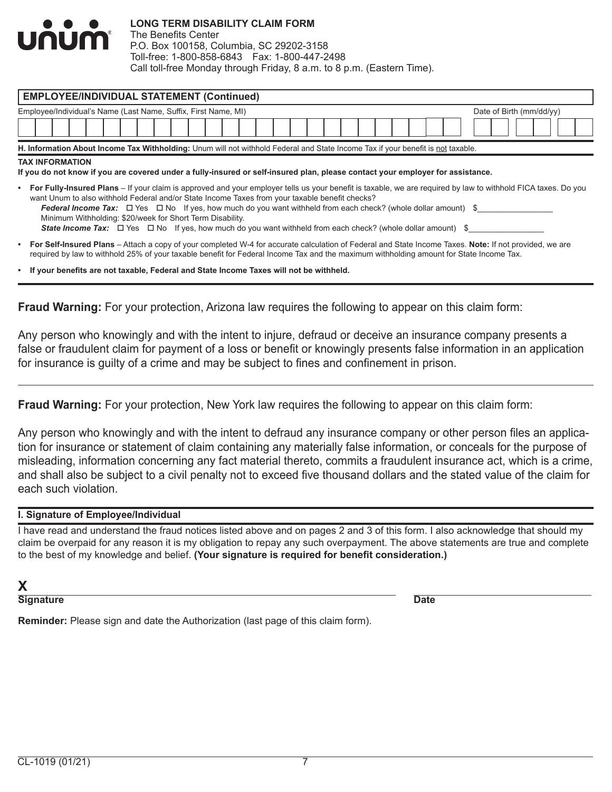

The Benefits Center P.O. Box 100158, Columbia, SC 29202-3158 Toll-free: 1-800-858-6843 Fax: 1-800-447-2498 Call toll-free Monday through Friday, 8 a.m. to 8 p.m. (Eastern Time).

| <b>EMPLOYEE/INDIVIDUAL STATEMENT (Continued)</b>                                                                                                                                                                                                                                                                                                                                                                                                                                                                                                                                                                                                                                                                              |                                   |  |  |  |  |  |  |  |  |  |  |  |
|-------------------------------------------------------------------------------------------------------------------------------------------------------------------------------------------------------------------------------------------------------------------------------------------------------------------------------------------------------------------------------------------------------------------------------------------------------------------------------------------------------------------------------------------------------------------------------------------------------------------------------------------------------------------------------------------------------------------------------|-----------------------------------|--|--|--|--|--|--|--|--|--|--|--|
| Employee/Individual's Name (Last Name, Suffix, First Name, MI)                                                                                                                                                                                                                                                                                                                                                                                                                                                                                                                                                                                                                                                                | Date of Birth $\text{(mm/dd/yy)}$ |  |  |  |  |  |  |  |  |  |  |  |
|                                                                                                                                                                                                                                                                                                                                                                                                                                                                                                                                                                                                                                                                                                                               |                                   |  |  |  |  |  |  |  |  |  |  |  |
| H. Information About Income Tax Withholding: Unum will not withhold Federal and State Income Tax if your benefit is not taxable.                                                                                                                                                                                                                                                                                                                                                                                                                                                                                                                                                                                              |                                   |  |  |  |  |  |  |  |  |  |  |  |
| <b>TAX INFORMATION</b>                                                                                                                                                                                                                                                                                                                                                                                                                                                                                                                                                                                                                                                                                                        |                                   |  |  |  |  |  |  |  |  |  |  |  |
| If you do not know if you are covered under a fully-insured or self-insured plan, please contact your employer for assistance.<br>• For Fully-Insured Plans – If your claim is approved and your employer tells us your benefit is taxable, we are required by law to withhold FICA taxes. Do you<br>want Unum to also withhold Federal and/or State Income Taxes from your taxable benefit checks?<br>Federal Income Tax: $\Box$ Yes $\Box$ No If yes, how much do you want withheld from each check? (whole dollar amount) \$<br>Minimum Withholding: \$20/week for Short Term Disability.<br><b>State Income Tax:</b> $\Box$ Yes $\Box$ No If yes, how much do you want withheld from each check? (whole dollar amount) \$ |                                   |  |  |  |  |  |  |  |  |  |  |  |
| <b>For Self-Insured Plans</b> – Attach a copy of your completed W-4 for accurate calculation of Federal and State Income Taxes. Note: If not provided, we are<br>$\bullet$<br>required by law to withhold 25% of your taxable benefit for Federal Income Tax and the maximum withholding amount for State Income Tax.                                                                                                                                                                                                                                                                                                                                                                                                         |                                   |  |  |  |  |  |  |  |  |  |  |  |
| • If your benefits are not taxable, Federal and State Income Taxes will not be withheld.                                                                                                                                                                                                                                                                                                                                                                                                                                                                                                                                                                                                                                      |                                   |  |  |  |  |  |  |  |  |  |  |  |

**Fraud Warning:** For your protection, Arizona law requires the following to appear on this claim form:

Any person who knowingly and with the intent to injure, defraud or deceive an insurance company presents a false or fraudulent claim for payment of a loss or benefit or knowingly presents false information in an application for insurance is guilty of a crime and may be subject to fines and confinement in prison.

**Fraud Warning:** For your protection, New York law requires the following to appear on this claim form:

Any person who knowingly and with the intent to defraud any insurance company or other person files an application for insurance or statement of claim containing any materially false information, or conceals for the purpose of misleading, information concerning any fact material thereto, commits a fraudulent insurance act, which is a crime, and shall also be subject to a civil penalty not to exceed five thousand dollars and the stated value of the claim for each such violation.

### **I. Signature of Employee/Individual**

I have read and understand the fraud notices listed above and on pages 2 and 3 of this form. I also acknowledge that should my claim be overpaid for any reason it is my obligation to repay any such overpayment. The above statements are true and complete to the best of my knowledge and belief. **(Your signature is required for benefit consideration.)**

|--|--|--|

**Signature Date** 

**Reminder:** Please sign and date the Authorization (last page of this claim form).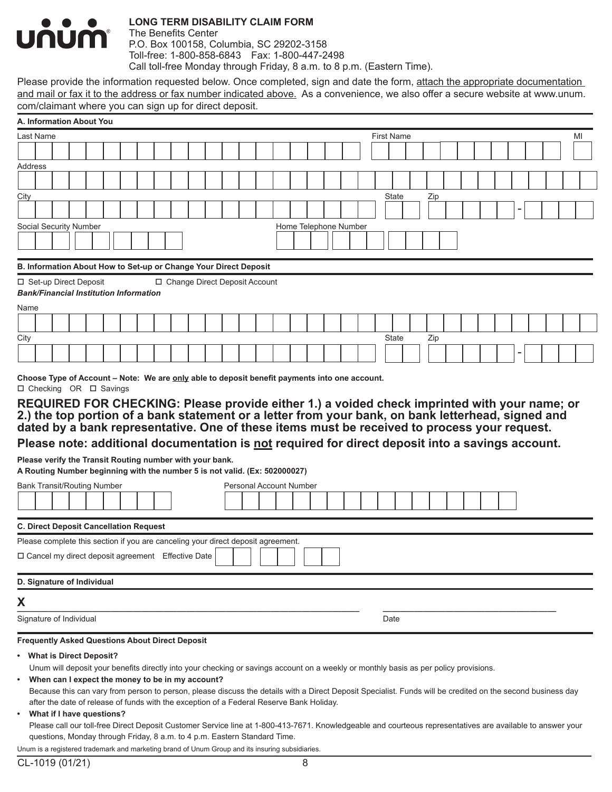

The Benefits Center P.O. Box 100158, Columbia, SC 29202-3158 Toll-free: 1-800-858-6843 Fax: 1-800-447-2498 Call toll-free Monday through Friday, 8 a.m. to 8 p.m. (Eastern Time).

Please provide the information requested below. Once completed, sign and date the form, attach the appropriate documentation and mail or fax it to the address or fax number indicated above. As a convenience, we also offer a secure website at www.unum. com/claimant where you can sign up for direct deposit.

| Last Name<br><b>First Name</b><br>MI<br>State<br>Zip<br>Home Telephone Number<br>B. Information About How to Set-up or Change Your Direct Deposit<br>□ Set-up Direct Deposit<br>□ Change Direct Deposit Account<br><b>Bank/Financial Institution Information</b><br>State<br>Zip<br>Choose Type of Account – Note: We are only able to deposit benefit payments into one account.<br>□ Checking OR □ Savings<br><b>Personal Account Number</b><br><b>C. Direct Deposit Cancellation Request</b><br>Please complete this section if you are canceling your direct deposit agreement.<br>□ Cancel my direct deposit agreement Effective Date<br>D. Signature of Individual<br>Date<br><b>Frequently Asked Questions About Direct Deposit</b><br>Unum will deposit your benefits directly into your checking or savings account on a weekly or monthly basis as per policy provisions. | A. Information About You                                                                                                                                                                           |  |  |  |  |  |  |  |  |  |  |  |  |  |  |
|-------------------------------------------------------------------------------------------------------------------------------------------------------------------------------------------------------------------------------------------------------------------------------------------------------------------------------------------------------------------------------------------------------------------------------------------------------------------------------------------------------------------------------------------------------------------------------------------------------------------------------------------------------------------------------------------------------------------------------------------------------------------------------------------------------------------------------------------------------------------------------------|----------------------------------------------------------------------------------------------------------------------------------------------------------------------------------------------------|--|--|--|--|--|--|--|--|--|--|--|--|--|--|
|                                                                                                                                                                                                                                                                                                                                                                                                                                                                                                                                                                                                                                                                                                                                                                                                                                                                                     |                                                                                                                                                                                                    |  |  |  |  |  |  |  |  |  |  |  |  |  |  |
|                                                                                                                                                                                                                                                                                                                                                                                                                                                                                                                                                                                                                                                                                                                                                                                                                                                                                     |                                                                                                                                                                                                    |  |  |  |  |  |  |  |  |  |  |  |  |  |  |
|                                                                                                                                                                                                                                                                                                                                                                                                                                                                                                                                                                                                                                                                                                                                                                                                                                                                                     | Address                                                                                                                                                                                            |  |  |  |  |  |  |  |  |  |  |  |  |  |  |
|                                                                                                                                                                                                                                                                                                                                                                                                                                                                                                                                                                                                                                                                                                                                                                                                                                                                                     |                                                                                                                                                                                                    |  |  |  |  |  |  |  |  |  |  |  |  |  |  |
|                                                                                                                                                                                                                                                                                                                                                                                                                                                                                                                                                                                                                                                                                                                                                                                                                                                                                     | City                                                                                                                                                                                               |  |  |  |  |  |  |  |  |  |  |  |  |  |  |
|                                                                                                                                                                                                                                                                                                                                                                                                                                                                                                                                                                                                                                                                                                                                                                                                                                                                                     |                                                                                                                                                                                                    |  |  |  |  |  |  |  |  |  |  |  |  |  |  |
|                                                                                                                                                                                                                                                                                                                                                                                                                                                                                                                                                                                                                                                                                                                                                                                                                                                                                     | Social Security Number                                                                                                                                                                             |  |  |  |  |  |  |  |  |  |  |  |  |  |  |
|                                                                                                                                                                                                                                                                                                                                                                                                                                                                                                                                                                                                                                                                                                                                                                                                                                                                                     |                                                                                                                                                                                                    |  |  |  |  |  |  |  |  |  |  |  |  |  |  |
|                                                                                                                                                                                                                                                                                                                                                                                                                                                                                                                                                                                                                                                                                                                                                                                                                                                                                     |                                                                                                                                                                                                    |  |  |  |  |  |  |  |  |  |  |  |  |  |  |
|                                                                                                                                                                                                                                                                                                                                                                                                                                                                                                                                                                                                                                                                                                                                                                                                                                                                                     |                                                                                                                                                                                                    |  |  |  |  |  |  |  |  |  |  |  |  |  |  |
|                                                                                                                                                                                                                                                                                                                                                                                                                                                                                                                                                                                                                                                                                                                                                                                                                                                                                     |                                                                                                                                                                                                    |  |  |  |  |  |  |  |  |  |  |  |  |  |  |
|                                                                                                                                                                                                                                                                                                                                                                                                                                                                                                                                                                                                                                                                                                                                                                                                                                                                                     |                                                                                                                                                                                                    |  |  |  |  |  |  |  |  |  |  |  |  |  |  |
|                                                                                                                                                                                                                                                                                                                                                                                                                                                                                                                                                                                                                                                                                                                                                                                                                                                                                     | Name                                                                                                                                                                                               |  |  |  |  |  |  |  |  |  |  |  |  |  |  |
|                                                                                                                                                                                                                                                                                                                                                                                                                                                                                                                                                                                                                                                                                                                                                                                                                                                                                     |                                                                                                                                                                                                    |  |  |  |  |  |  |  |  |  |  |  |  |  |  |
|                                                                                                                                                                                                                                                                                                                                                                                                                                                                                                                                                                                                                                                                                                                                                                                                                                                                                     | City                                                                                                                                                                                               |  |  |  |  |  |  |  |  |  |  |  |  |  |  |
|                                                                                                                                                                                                                                                                                                                                                                                                                                                                                                                                                                                                                                                                                                                                                                                                                                                                                     |                                                                                                                                                                                                    |  |  |  |  |  |  |  |  |  |  |  |  |  |  |
|                                                                                                                                                                                                                                                                                                                                                                                                                                                                                                                                                                                                                                                                                                                                                                                                                                                                                     |                                                                                                                                                                                                    |  |  |  |  |  |  |  |  |  |  |  |  |  |  |
|                                                                                                                                                                                                                                                                                                                                                                                                                                                                                                                                                                                                                                                                                                                                                                                                                                                                                     |                                                                                                                                                                                                    |  |  |  |  |  |  |  |  |  |  |  |  |  |  |
|                                                                                                                                                                                                                                                                                                                                                                                                                                                                                                                                                                                                                                                                                                                                                                                                                                                                                     | REQUIRED FOR CHECKING: Please provide either 1.) a voided check imprinted with your name; or<br>2.) the top portion of a bank statement or a letter from your bank, on bank letterhead, signed and |  |  |  |  |  |  |  |  |  |  |  |  |  |  |
|                                                                                                                                                                                                                                                                                                                                                                                                                                                                                                                                                                                                                                                                                                                                                                                                                                                                                     | dated by a bank representative. One of these items must be received to process your request.                                                                                                       |  |  |  |  |  |  |  |  |  |  |  |  |  |  |
|                                                                                                                                                                                                                                                                                                                                                                                                                                                                                                                                                                                                                                                                                                                                                                                                                                                                                     |                                                                                                                                                                                                    |  |  |  |  |  |  |  |  |  |  |  |  |  |  |
|                                                                                                                                                                                                                                                                                                                                                                                                                                                                                                                                                                                                                                                                                                                                                                                                                                                                                     | Please note: additional documentation is not required for direct deposit into a savings account.                                                                                                   |  |  |  |  |  |  |  |  |  |  |  |  |  |  |
|                                                                                                                                                                                                                                                                                                                                                                                                                                                                                                                                                                                                                                                                                                                                                                                                                                                                                     | Please verify the Transit Routing number with your bank.                                                                                                                                           |  |  |  |  |  |  |  |  |  |  |  |  |  |  |
|                                                                                                                                                                                                                                                                                                                                                                                                                                                                                                                                                                                                                                                                                                                                                                                                                                                                                     | A Routing Number beginning with the number 5 is not valid. (Ex: 502000027)                                                                                                                         |  |  |  |  |  |  |  |  |  |  |  |  |  |  |
|                                                                                                                                                                                                                                                                                                                                                                                                                                                                                                                                                                                                                                                                                                                                                                                                                                                                                     | <b>Bank Transit/Routing Number</b>                                                                                                                                                                 |  |  |  |  |  |  |  |  |  |  |  |  |  |  |
|                                                                                                                                                                                                                                                                                                                                                                                                                                                                                                                                                                                                                                                                                                                                                                                                                                                                                     |                                                                                                                                                                                                    |  |  |  |  |  |  |  |  |  |  |  |  |  |  |
|                                                                                                                                                                                                                                                                                                                                                                                                                                                                                                                                                                                                                                                                                                                                                                                                                                                                                     |                                                                                                                                                                                                    |  |  |  |  |  |  |  |  |  |  |  |  |  |  |
|                                                                                                                                                                                                                                                                                                                                                                                                                                                                                                                                                                                                                                                                                                                                                                                                                                                                                     |                                                                                                                                                                                                    |  |  |  |  |  |  |  |  |  |  |  |  |  |  |
|                                                                                                                                                                                                                                                                                                                                                                                                                                                                                                                                                                                                                                                                                                                                                                                                                                                                                     |                                                                                                                                                                                                    |  |  |  |  |  |  |  |  |  |  |  |  |  |  |
|                                                                                                                                                                                                                                                                                                                                                                                                                                                                                                                                                                                                                                                                                                                                                                                                                                                                                     |                                                                                                                                                                                                    |  |  |  |  |  |  |  |  |  |  |  |  |  |  |
|                                                                                                                                                                                                                                                                                                                                                                                                                                                                                                                                                                                                                                                                                                                                                                                                                                                                                     |                                                                                                                                                                                                    |  |  |  |  |  |  |  |  |  |  |  |  |  |  |
|                                                                                                                                                                                                                                                                                                                                                                                                                                                                                                                                                                                                                                                                                                                                                                                                                                                                                     |                                                                                                                                                                                                    |  |  |  |  |  |  |  |  |  |  |  |  |  |  |
|                                                                                                                                                                                                                                                                                                                                                                                                                                                                                                                                                                                                                                                                                                                                                                                                                                                                                     |                                                                                                                                                                                                    |  |  |  |  |  |  |  |  |  |  |  |  |  |  |
|                                                                                                                                                                                                                                                                                                                                                                                                                                                                                                                                                                                                                                                                                                                                                                                                                                                                                     | X                                                                                                                                                                                                  |  |  |  |  |  |  |  |  |  |  |  |  |  |  |
|                                                                                                                                                                                                                                                                                                                                                                                                                                                                                                                                                                                                                                                                                                                                                                                                                                                                                     | Signature of Individual                                                                                                                                                                            |  |  |  |  |  |  |  |  |  |  |  |  |  |  |
|                                                                                                                                                                                                                                                                                                                                                                                                                                                                                                                                                                                                                                                                                                                                                                                                                                                                                     |                                                                                                                                                                                                    |  |  |  |  |  |  |  |  |  |  |  |  |  |  |
|                                                                                                                                                                                                                                                                                                                                                                                                                                                                                                                                                                                                                                                                                                                                                                                                                                                                                     | • What is Direct Deposit?                                                                                                                                                                          |  |  |  |  |  |  |  |  |  |  |  |  |  |  |
| When can I expect the money to be in my account?                                                                                                                                                                                                                                                                                                                                                                                                                                                                                                                                                                                                                                                                                                                                                                                                                                    |                                                                                                                                                                                                    |  |  |  |  |  |  |  |  |  |  |  |  |  |  |
| Because this can vary from person to person, please discuss the details with a Direct Deposit Specialist. Funds will be credited on the second business day                                                                                                                                                                                                                                                                                                                                                                                                                                                                                                                                                                                                                                                                                                                         |                                                                                                                                                                                                    |  |  |  |  |  |  |  |  |  |  |  |  |  |  |
| after the date of release of funds with the exception of a Federal Reserve Bank Holiday.                                                                                                                                                                                                                                                                                                                                                                                                                                                                                                                                                                                                                                                                                                                                                                                            |                                                                                                                                                                                                    |  |  |  |  |  |  |  |  |  |  |  |  |  |  |
|                                                                                                                                                                                                                                                                                                                                                                                                                                                                                                                                                                                                                                                                                                                                                                                                                                                                                     |                                                                                                                                                                                                    |  |  |  |  |  |  |  |  |  |  |  |  |  |  |
| Please call our toll-free Direct Deposit Customer Service line at 1-800-413-7671. Knowledgeable and courteous representatives are available to answer your<br>questions, Monday through Friday, 8 a.m. to 4 p.m. Eastern Standard Time.                                                                                                                                                                                                                                                                                                                                                                                                                                                                                                                                                                                                                                             | What if I have questions?                                                                                                                                                                          |  |  |  |  |  |  |  |  |  |  |  |  |  |  |
| Unum is a registered trademark and marketing brand of Unum Group and its insuring subsidiaries.                                                                                                                                                                                                                                                                                                                                                                                                                                                                                                                                                                                                                                                                                                                                                                                     |                                                                                                                                                                                                    |  |  |  |  |  |  |  |  |  |  |  |  |  |  |
| CL-1019 (01/21)<br>8                                                                                                                                                                                                                                                                                                                                                                                                                                                                                                                                                                                                                                                                                                                                                                                                                                                                |                                                                                                                                                                                                    |  |  |  |  |  |  |  |  |  |  |  |  |  |  |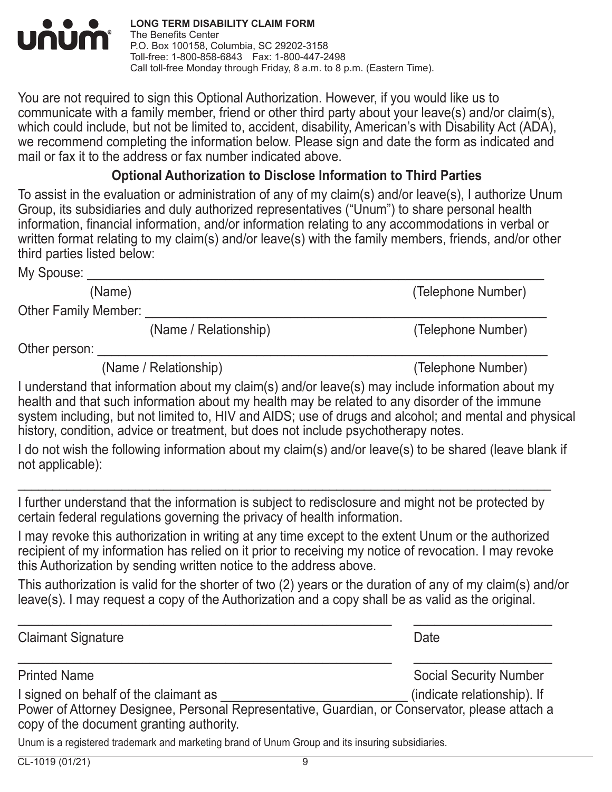

You are not required to sign this Optional Authorization. However, if you would like us to communicate with a family member, friend or other third party about your leave(s) and/or claim(s), which could include, but not be limited to, accident, disability, American's with Disability Act (ADA), we recommend completing the information below. Please sign and date the form as indicated and mail or fax it to the address or fax number indicated above.

# **Optional Authorization to Disclose Information to Third Parties**

To assist in the evaluation or administration of any of my claim(s) and/or leave(s), I authorize Unum Group, its subsidiaries and duly authorized representatives ("Unum") to share personal health information, financial information, and/or information relating to any accommodations in verbal or written format relating to my claim(s) and/or leave(s) with the family members, friends, and/or other third parties listed below:

My Spouse:

(Name) (Telephone Number)

Other Family Member:

(Name / Relationship) (Telephone Number)

Other person:

(Name / Relationship) (Telephone Number)

I understand that information about my claim(s) and/or leave(s) may include information about my health and that such information about my health may be related to any disorder of the immune system including, but not limited to, HIV and AIDS; use of drugs and alcohol; and mental and physical history, condition, advice or treatment, but does not include psychotherapy notes.

I do not wish the following information about my claim(s) and/or leave(s) to be shared (leave blank if not applicable):

I further understand that the information is subject to redisclosure and might not be protected by certain federal regulations governing the privacy of health information.

 $\mathcal{L}_\text{max}$  , and the contribution of the contribution of the contribution of the contribution of the contribution of the contribution of the contribution of the contribution of the contribution of the contribution of t

I may revoke this authorization in writing at any time except to the extent Unum or the authorized recipient of my information has relied on it prior to receiving my notice of revocation. I may revoke this Authorization by sending written notice to the address above.

This authorization is valid for the shorter of two (2) years or the duration of any of my claim(s) and/or leave(s). I may request a copy of the Authorization and a copy shall be as valid as the original.

| <b>Claimant Signature</b>                                                                                                                  | Date                          |
|--------------------------------------------------------------------------------------------------------------------------------------------|-------------------------------|
| <b>Printed Name</b>                                                                                                                        | <b>Social Security Number</b> |
| I signed on behalf of the claimant as                                                                                                      | (indicate relationship). If   |
| Power of Attorney Designee, Personal Representative, Guardian, or Conservator, please attach a<br>copy of the document granting authority. |                               |
| I luim is a registered trademark and marketing brand of Unum Croup and its insuring subsidiaries                                           |                               |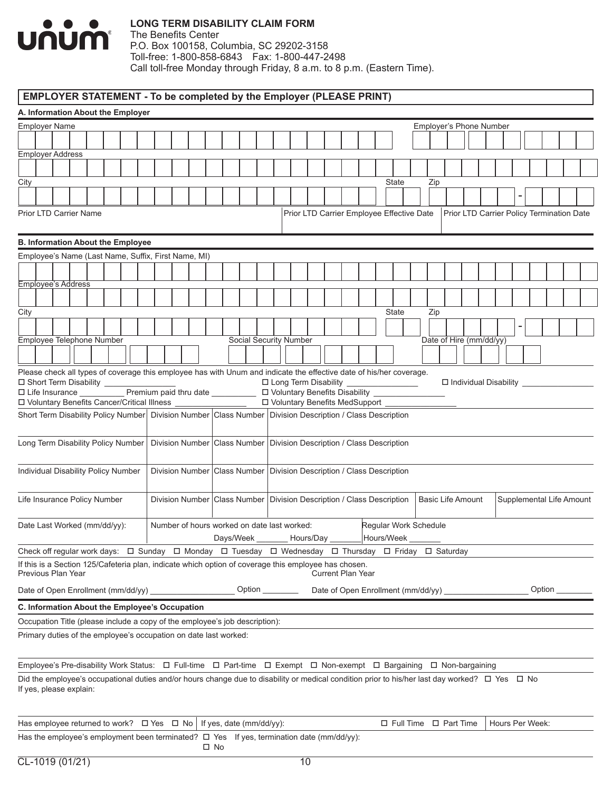

The Benefits Center P.O. Box 100158, Columbia, SC 29202-3158 Toll-free: 1-800-858-6843 Fax: 1-800-447-2498 Call toll-free Monday through Friday, 8 a.m. to 8 p.m. (Eastern Time).

# **EMPLOYER STATEMENT - To be completed by the Employer (PLEASE PRINT)**

| A. Information About the Employer                                                                                                                                         |  |  |  |  |      |                                                          |  |                        |                                 |                          |  |                                                                         |     |                          |  |  |                 |                                           |
|---------------------------------------------------------------------------------------------------------------------------------------------------------------------------|--|--|--|--|------|----------------------------------------------------------|--|------------------------|---------------------------------|--------------------------|--|-------------------------------------------------------------------------|-----|--------------------------|--|--|-----------------|-------------------------------------------|
| Employer Name                                                                                                                                                             |  |  |  |  |      |                                                          |  |                        |                                 |                          |  |                                                                         |     | Employer's Phone Number  |  |  |                 |                                           |
|                                                                                                                                                                           |  |  |  |  |      |                                                          |  |                        |                                 |                          |  |                                                                         |     |                          |  |  |                 |                                           |
| <b>Employer Address</b>                                                                                                                                                   |  |  |  |  |      |                                                          |  |                        |                                 |                          |  |                                                                         |     |                          |  |  |                 |                                           |
|                                                                                                                                                                           |  |  |  |  |      |                                                          |  |                        |                                 |                          |  | <b>State</b>                                                            |     |                          |  |  |                 |                                           |
| City                                                                                                                                                                      |  |  |  |  |      |                                                          |  |                        |                                 |                          |  |                                                                         | Zip |                          |  |  |                 |                                           |
| <b>Prior LTD Carrier Name</b>                                                                                                                                             |  |  |  |  |      |                                                          |  |                        |                                 |                          |  | Prior LTD Carrier Employee Effective Date                               |     |                          |  |  |                 | Prior LTD Carrier Policy Termination Date |
|                                                                                                                                                                           |  |  |  |  |      |                                                          |  |                        |                                 |                          |  |                                                                         |     |                          |  |  |                 |                                           |
| <b>B. Information About the Employee</b>                                                                                                                                  |  |  |  |  |      |                                                          |  |                        |                                 |                          |  |                                                                         |     |                          |  |  |                 |                                           |
| Employee's Name (Last Name, Suffix, First Name, MI)                                                                                                                       |  |  |  |  |      |                                                          |  |                        |                                 |                          |  |                                                                         |     |                          |  |  |                 |                                           |
|                                                                                                                                                                           |  |  |  |  |      |                                                          |  |                        |                                 |                          |  |                                                                         |     |                          |  |  |                 |                                           |
| <b>Employee's Address</b>                                                                                                                                                 |  |  |  |  |      |                                                          |  |                        |                                 |                          |  |                                                                         |     |                          |  |  |                 |                                           |
|                                                                                                                                                                           |  |  |  |  |      |                                                          |  |                        |                                 |                          |  |                                                                         |     |                          |  |  |                 |                                           |
| City                                                                                                                                                                      |  |  |  |  |      |                                                          |  |                        |                                 |                          |  | <b>State</b>                                                            | Zip |                          |  |  |                 |                                           |
|                                                                                                                                                                           |  |  |  |  |      |                                                          |  |                        |                                 |                          |  |                                                                         |     |                          |  |  |                 |                                           |
| Employee Telephone Number                                                                                                                                                 |  |  |  |  |      |                                                          |  | Social Security Number |                                 |                          |  |                                                                         |     | Date of Hire (mm/dd/yy)  |  |  |                 |                                           |
|                                                                                                                                                                           |  |  |  |  |      |                                                          |  |                        |                                 |                          |  |                                                                         |     |                          |  |  |                 |                                           |
| Please check all types of coverage this employee has with Unum and indicate the effective date of his/her coverage.<br>□ Short Term Disability __________                 |  |  |  |  |      |                                                          |  |                        | □ Long Term Disability          |                          |  |                                                                         |     | □ Individual Disability  |  |  |                 |                                           |
| $\Box$ Life Insurance                                                                                                                                                     |  |  |  |  |      |                                                          |  |                        |                                 |                          |  | <u> 1990 - Johann Barbara, m</u>                                        |     |                          |  |  |                 |                                           |
| D Voluntary Benefits Cancer/Critical Illness __________                                                                                                                   |  |  |  |  |      |                                                          |  |                        | □ Voluntary Benefits MedSupport |                          |  |                                                                         |     |                          |  |  |                 |                                           |
| Short Term Disability Policy Number   Division Number   Class Number   Division Description / Class Description                                                           |  |  |  |  |      |                                                          |  |                        |                                 |                          |  |                                                                         |     |                          |  |  |                 |                                           |
| Long Term Disability Policy Number                                                                                                                                        |  |  |  |  |      |                                                          |  |                        |                                 |                          |  | Division Number Class Number Division Description / Class Description   |     |                          |  |  |                 |                                           |
| Individual Disability Policy Number                                                                                                                                       |  |  |  |  |      |                                                          |  |                        |                                 |                          |  | Division Number Class Number   Division Description / Class Description |     |                          |  |  |                 |                                           |
| Life Insurance Policy Number                                                                                                                                              |  |  |  |  |      |                                                          |  |                        |                                 |                          |  | Division Number Class Number Division Description / Class Description   |     | <b>Basic Life Amount</b> |  |  |                 | Supplemental Life Amount                  |
| Date Last Worked (mm/dd/yy):                                                                                                                                              |  |  |  |  |      | Number of hours worked on date last worked:<br>Days/Week |  |                        | Hours/Day                       |                          |  | Regular Work Schedule<br>Hours/Week                                     |     |                          |  |  |                 |                                           |
| Check off regular work days: □ Sunday □ Monday □ Tuesday □ Wednesday □ Thursday □ Friday □ Saturday                                                                       |  |  |  |  |      |                                                          |  |                        |                                 |                          |  |                                                                         |     |                          |  |  |                 |                                           |
| If this is a Section 125/Cafeteria plan, indicate which option of coverage this employee has chosen.<br>Previous Plan Year                                                |  |  |  |  |      |                                                          |  |                        |                                 | <b>Current Plan Year</b> |  |                                                                         |     |                          |  |  |                 |                                           |
|                                                                                                                                                                           |  |  |  |  |      |                                                          |  | Option ________        |                                 |                          |  |                                                                         |     |                          |  |  | Option          |                                           |
| C. Information About the Employee's Occupation                                                                                                                            |  |  |  |  |      |                                                          |  |                        |                                 |                          |  |                                                                         |     |                          |  |  |                 |                                           |
| Occupation Title (please include a copy of the employee's job description):                                                                                               |  |  |  |  |      |                                                          |  |                        |                                 |                          |  |                                                                         |     |                          |  |  |                 |                                           |
| Primary duties of the employee's occupation on date last worked:                                                                                                          |  |  |  |  |      |                                                          |  |                        |                                 |                          |  |                                                                         |     |                          |  |  |                 |                                           |
| Employee's Pre-disability Work Status: $\Box$ Full-time $\Box$ Part-time $\Box$ Exempt $\Box$ Non-exempt $\Box$ Bargaining $\Box$ Non-bargaining                          |  |  |  |  |      |                                                          |  |                        |                                 |                          |  |                                                                         |     |                          |  |  |                 |                                           |
| Did the employee's occupational duties and/or hours change due to disability or medical condition prior to his/her last day worked? □ Yes □ No<br>If yes, please explain: |  |  |  |  |      |                                                          |  |                        |                                 |                          |  |                                                                         |     |                          |  |  |                 |                                           |
| Has employee returned to work? $\Box$ Yes $\Box$ No   If yes, date (mm/dd/yy):                                                                                            |  |  |  |  |      |                                                          |  |                        |                                 |                          |  | $\Box$ Full Time $\Box$ Part Time                                       |     |                          |  |  | Hours Per Week: |                                           |
| Has the employee's employment been terminated? $\Box$ Yes If yes, termination date (mm/dd/yy):                                                                            |  |  |  |  | □ No |                                                          |  |                        |                                 |                          |  |                                                                         |     |                          |  |  |                 |                                           |
| $CL-1019(01/21)$                                                                                                                                                          |  |  |  |  |      |                                                          |  |                        | 10                              |                          |  |                                                                         |     |                          |  |  |                 |                                           |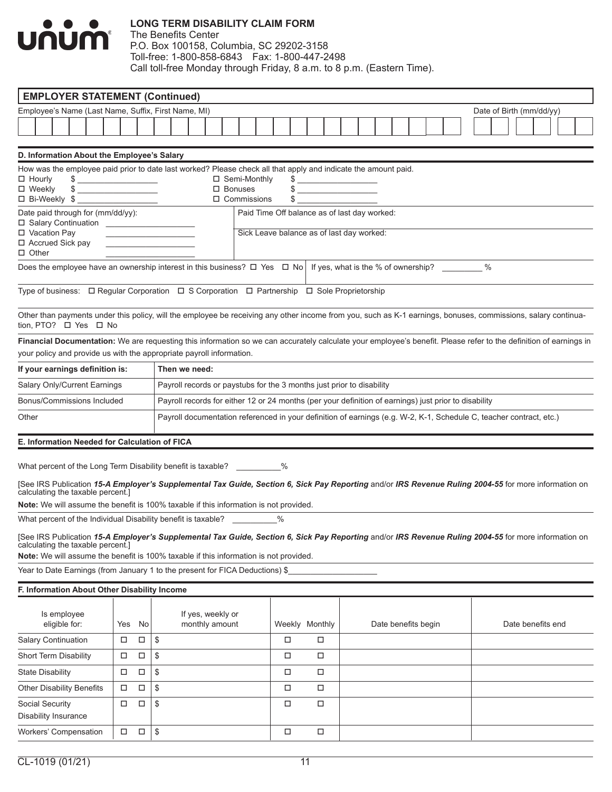# $\bullet$ <u>UNUM</u>

### **LONG TERM DISABILITY CLAIM FORM**

| <b>EMPLOYER STATEMENT (Continued)</b>                                                                                                                                                                                                                                                                                                                                                                                                                                                                                                                                                             |        |        |    |                                                                                                                       |  |  |                                                             |  |  |  |  |      |        |                |        |                           |  |                                              |  |                     |  |  |  |  |                          |  |  |  |
|---------------------------------------------------------------------------------------------------------------------------------------------------------------------------------------------------------------------------------------------------------------------------------------------------------------------------------------------------------------------------------------------------------------------------------------------------------------------------------------------------------------------------------------------------------------------------------------------------|--------|--------|----|-----------------------------------------------------------------------------------------------------------------------|--|--|-------------------------------------------------------------|--|--|--|--|------|--------|----------------|--------|---------------------------|--|----------------------------------------------|--|---------------------|--|--|--|--|--------------------------|--|--|--|
| Employee's Name (Last Name, Suffix, First Name, MI)                                                                                                                                                                                                                                                                                                                                                                                                                                                                                                                                               |        |        |    |                                                                                                                       |  |  |                                                             |  |  |  |  |      |        |                |        |                           |  |                                              |  |                     |  |  |  |  | Date of Birth (mm/dd/yy) |  |  |  |
|                                                                                                                                                                                                                                                                                                                                                                                                                                                                                                                                                                                                   |        |        |    |                                                                                                                       |  |  |                                                             |  |  |  |  |      |        |                |        |                           |  |                                              |  |                     |  |  |  |  |                          |  |  |  |
| D. Information About the Employee's Salary                                                                                                                                                                                                                                                                                                                                                                                                                                                                                                                                                        |        |        |    |                                                                                                                       |  |  |                                                             |  |  |  |  |      |        |                |        |                           |  |                                              |  |                     |  |  |  |  |                          |  |  |  |
| How was the employee paid prior to date last worked? Please check all that apply and indicate the amount paid.<br>$\Box$ Hourly<br>$\begin{picture}(20,10) \put(0,0){\vector(1,0){100}} \put(15,0){\vector(1,0){100}} \put(15,0){\vector(1,0){100}} \put(15,0){\vector(1,0){100}} \put(15,0){\vector(1,0){100}} \put(15,0){\vector(1,0){100}} \put(15,0){\vector(1,0){100}} \put(15,0){\vector(1,0){100}} \put(15,0){\vector(1,0){100}} \put(15,0){\vector(1,0){100}} \put(15,0){\vector(1,0){100}} \$<br>□ Weekly<br>$\begin{array}{c} \updownarrow \\ \downarrow \end{array}$<br>□ Bi-Weekly \$ |        |        |    |                                                                                                                       |  |  | $\Box$ Semi-Monthly<br>$\Box$ Bonuses<br>$\Box$ Commissions |  |  |  |  |      |        | \$             |        | \$<br>$\quad \  \  \, \$$ |  |                                              |  |                     |  |  |  |  |                          |  |  |  |
| Date paid through for (mm/dd/yy):<br>D Salary Continuation <b>CONSIDENT</b>                                                                                                                                                                                                                                                                                                                                                                                                                                                                                                                       |        |        |    |                                                                                                                       |  |  |                                                             |  |  |  |  |      |        |                |        |                           |  | Paid Time Off balance as of last day worked: |  |                     |  |  |  |  |                          |  |  |  |
| □ Vacation Pay<br>□ Accrued Sick pay<br>$\Box$ Other                                                                                                                                                                                                                                                                                                                                                                                                                                                                                                                                              |        |        |    | <u> La Carlo de la Carlo de la Carlo de la Carlo de la Carlo de la Carlo de la Carlo de la Carlo de la Carlo de l</u> |  |  |                                                             |  |  |  |  |      |        |                |        |                           |  | Sick Leave balance as of last day worked:    |  |                     |  |  |  |  |                          |  |  |  |
| Does the employee have an ownership interest in this business? $\Box$ Yes $\Box$ No   If yes, what is the % of ownership?                                                                                                                                                                                                                                                                                                                                                                                                                                                                         |        |        |    |                                                                                                                       |  |  |                                                             |  |  |  |  |      |        |                |        |                           |  |                                              |  |                     |  |  |  |  |                          |  |  |  |
| Type of business: □ Regular Corporation □ S Corporation □ Partnership □ Sole Proprietorship                                                                                                                                                                                                                                                                                                                                                                                                                                                                                                       |        |        |    |                                                                                                                       |  |  |                                                             |  |  |  |  |      |        |                |        |                           |  |                                              |  |                     |  |  |  |  |                          |  |  |  |
| Other than payments under this policy, will the employee be receiving any other income from you, such as K-1 earnings, bonuses, commissions, salary continua-<br>tion, PTO? □ Yes □ No                                                                                                                                                                                                                                                                                                                                                                                                            |        |        |    |                                                                                                                       |  |  |                                                             |  |  |  |  |      |        |                |        |                           |  |                                              |  |                     |  |  |  |  |                          |  |  |  |
| Financial Documentation: We are requesting this information so we can accurately calculate your employee's benefit. Please refer to the definition of earnings in<br>your policy and provide us with the appropriate payroll information.                                                                                                                                                                                                                                                                                                                                                         |        |        |    |                                                                                                                       |  |  |                                                             |  |  |  |  |      |        |                |        |                           |  |                                              |  |                     |  |  |  |  |                          |  |  |  |
| If your earnings definition is:                                                                                                                                                                                                                                                                                                                                                                                                                                                                                                                                                                   |        |        |    | Then we need:                                                                                                         |  |  |                                                             |  |  |  |  |      |        |                |        |                           |  |                                              |  |                     |  |  |  |  |                          |  |  |  |
| Salary Only/Current Earnings                                                                                                                                                                                                                                                                                                                                                                                                                                                                                                                                                                      |        |        |    | Payroll records or paystubs for the 3 months just prior to disability                                                 |  |  |                                                             |  |  |  |  |      |        |                |        |                           |  |                                              |  |                     |  |  |  |  |                          |  |  |  |
| Bonus/Commissions Included                                                                                                                                                                                                                                                                                                                                                                                                                                                                                                                                                                        |        |        |    | Payroll records for either 12 or 24 months (per your definition of earnings) just prior to disability                 |  |  |                                                             |  |  |  |  |      |        |                |        |                           |  |                                              |  |                     |  |  |  |  |                          |  |  |  |
| Other                                                                                                                                                                                                                                                                                                                                                                                                                                                                                                                                                                                             |        |        |    | Payroll documentation referenced in your definition of earnings (e.g. W-2, K-1, Schedule C, teacher contract, etc.)   |  |  |                                                             |  |  |  |  |      |        |                |        |                           |  |                                              |  |                     |  |  |  |  |                          |  |  |  |
| E. Information Needed for Calculation of FICA                                                                                                                                                                                                                                                                                                                                                                                                                                                                                                                                                     |        |        |    |                                                                                                                       |  |  |                                                             |  |  |  |  |      |        |                |        |                           |  |                                              |  |                     |  |  |  |  |                          |  |  |  |
| What percent of the Long Term Disability benefit is taxable? $\%$                                                                                                                                                                                                                                                                                                                                                                                                                                                                                                                                 |        |        |    |                                                                                                                       |  |  |                                                             |  |  |  |  |      |        |                |        |                           |  |                                              |  |                     |  |  |  |  |                          |  |  |  |
| [See IRS Publication 15-A Employer's Supplemental Tax Guide, Section 6, Sick Pay Reporting and/or IRS Revenue Ruling 2004-55 for more information on<br>calculating the taxable percent.]<br>Note: We will assume the benefit is 100% taxable if this information is not provided.                                                                                                                                                                                                                                                                                                                |        |        |    |                                                                                                                       |  |  |                                                             |  |  |  |  |      |        |                |        |                           |  |                                              |  |                     |  |  |  |  |                          |  |  |  |
| What percent of the Individual Disability benefit is taxable? _________                                                                                                                                                                                                                                                                                                                                                                                                                                                                                                                           |        |        |    |                                                                                                                       |  |  |                                                             |  |  |  |  | $\%$ |        |                |        |                           |  |                                              |  |                     |  |  |  |  |                          |  |  |  |
| [See IRS Publication 15-A Employer's Supplemental Tax Guide, Section 6, Sick Pay Reporting and/or IRS Revenue Ruling 2004-55 for more information on<br>calculating the taxable percent.]<br>Note: We will assume the benefit is 100% taxable if this information is not provided.                                                                                                                                                                                                                                                                                                                |        |        |    |                                                                                                                       |  |  |                                                             |  |  |  |  |      |        |                |        |                           |  |                                              |  |                     |  |  |  |  |                          |  |  |  |
| Year to Date Earnings (from January 1 to the present for FICA Deductions) \$                                                                                                                                                                                                                                                                                                                                                                                                                                                                                                                      |        |        |    |                                                                                                                       |  |  |                                                             |  |  |  |  |      |        |                |        |                           |  |                                              |  |                     |  |  |  |  |                          |  |  |  |
| F. Information About Other Disability Income                                                                                                                                                                                                                                                                                                                                                                                                                                                                                                                                                      |        |        |    |                                                                                                                       |  |  |                                                             |  |  |  |  |      |        |                |        |                           |  |                                              |  |                     |  |  |  |  |                          |  |  |  |
| Is employee<br>eligible for:                                                                                                                                                                                                                                                                                                                                                                                                                                                                                                                                                                      | Yes    | No     |    |                                                                                                                       |  |  | If yes, weekly or<br>monthly amount                         |  |  |  |  |      |        | Weekly Monthly |        |                           |  |                                              |  | Date benefits begin |  |  |  |  | Date benefits end        |  |  |  |
| <b>Salary Continuation</b>                                                                                                                                                                                                                                                                                                                                                                                                                                                                                                                                                                        | □      | $\Box$ | \$ |                                                                                                                       |  |  |                                                             |  |  |  |  |      | $\Box$ |                | $\Box$ |                           |  |                                              |  |                     |  |  |  |  |                          |  |  |  |
| Short Term Disability                                                                                                                                                                                                                                                                                                                                                                                                                                                                                                                                                                             | $\Box$ | $\Box$ | \$ |                                                                                                                       |  |  |                                                             |  |  |  |  |      | □      |                | □      |                           |  |                                              |  |                     |  |  |  |  |                          |  |  |  |
| <b>State Disability</b>                                                                                                                                                                                                                                                                                                                                                                                                                                                                                                                                                                           | □      | $\Box$ | \$ |                                                                                                                       |  |  |                                                             |  |  |  |  |      | $\Box$ |                | $\Box$ |                           |  |                                              |  |                     |  |  |  |  |                          |  |  |  |
| <b>Other Disability Benefits</b>                                                                                                                                                                                                                                                                                                                                                                                                                                                                                                                                                                  | $\Box$ | $\Box$ | \$ |                                                                                                                       |  |  |                                                             |  |  |  |  |      | $\Box$ |                | $\Box$ |                           |  |                                              |  |                     |  |  |  |  |                          |  |  |  |
| Social Security<br>Disability Insurance                                                                                                                                                                                                                                                                                                                                                                                                                                                                                                                                                           | □      | $\Box$ | \$ |                                                                                                                       |  |  |                                                             |  |  |  |  |      | □      |                | $\Box$ |                           |  |                                              |  |                     |  |  |  |  |                          |  |  |  |
| Workers' Compensation                                                                                                                                                                                                                                                                                                                                                                                                                                                                                                                                                                             | $\Box$ | $\Box$ | \$ |                                                                                                                       |  |  |                                                             |  |  |  |  |      | $\Box$ |                | $\Box$ |                           |  |                                              |  |                     |  |  |  |  |                          |  |  |  |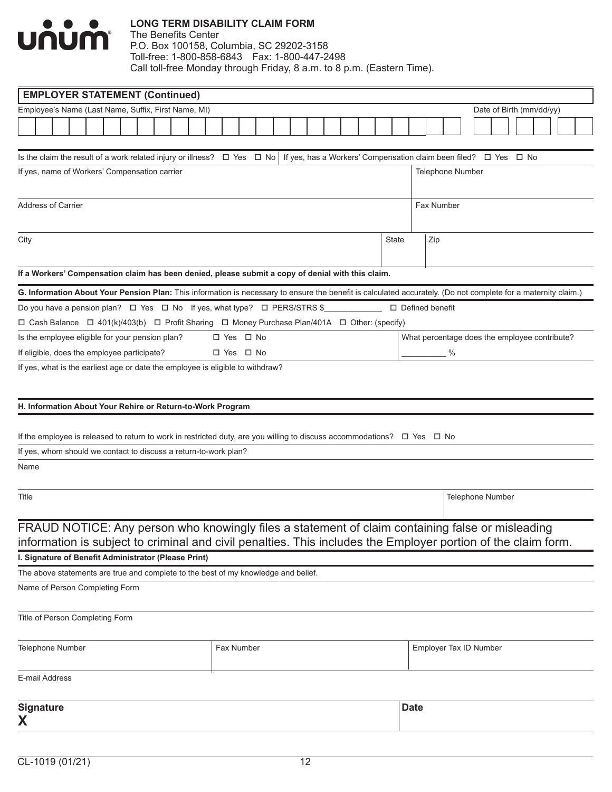

| Employee's Name (Last Name, Suffix, First Name, MI)<br>Date of Birth (mm/dd/yy)<br>Is the claim the result of a work related injury or illness? $\Box$ Yes $\Box$ No<br>If yes, has a Workers' Compensation claim been filed? □ Yes □ No<br>If yes, name of Workers' Compensation carrier<br><b>Telephone Number</b> | <b>EMPLOYER STATEMENT (Continued)</b> |  |  |  |  |  |  |  |  |  |  |  |  |  |
|----------------------------------------------------------------------------------------------------------------------------------------------------------------------------------------------------------------------------------------------------------------------------------------------------------------------|---------------------------------------|--|--|--|--|--|--|--|--|--|--|--|--|--|
|                                                                                                                                                                                                                                                                                                                      |                                       |  |  |  |  |  |  |  |  |  |  |  |  |  |
|                                                                                                                                                                                                                                                                                                                      |                                       |  |  |  |  |  |  |  |  |  |  |  |  |  |
|                                                                                                                                                                                                                                                                                                                      |                                       |  |  |  |  |  |  |  |  |  |  |  |  |  |
|                                                                                                                                                                                                                                                                                                                      |                                       |  |  |  |  |  |  |  |  |  |  |  |  |  |
|                                                                                                                                                                                                                                                                                                                      |                                       |  |  |  |  |  |  |  |  |  |  |  |  |  |
|                                                                                                                                                                                                                                                                                                                      |                                       |  |  |  |  |  |  |  |  |  |  |  |  |  |
| Address of Carrier<br>Fax Number                                                                                                                                                                                                                                                                                     |                                       |  |  |  |  |  |  |  |  |  |  |  |  |  |
|                                                                                                                                                                                                                                                                                                                      |                                       |  |  |  |  |  |  |  |  |  |  |  |  |  |
| Zip<br>State                                                                                                                                                                                                                                                                                                         |                                       |  |  |  |  |  |  |  |  |  |  |  |  |  |
| City                                                                                                                                                                                                                                                                                                                 |                                       |  |  |  |  |  |  |  |  |  |  |  |  |  |
|                                                                                                                                                                                                                                                                                                                      |                                       |  |  |  |  |  |  |  |  |  |  |  |  |  |
| If a Workers' Compensation claim has been denied, please submit a copy of denial with this claim.                                                                                                                                                                                                                    |                                       |  |  |  |  |  |  |  |  |  |  |  |  |  |
| G. Information About Your Pension Plan: This information is necessary to ensure the benefit is calculated accurately. (Do not complete for a maternity claim.)                                                                                                                                                       |                                       |  |  |  |  |  |  |  |  |  |  |  |  |  |
| Do you have a pension plan?  □ Yes □ No If yes, what type? □ PERS/STRS \$<br>$\Box$ Defined benefit                                                                                                                                                                                                                  |                                       |  |  |  |  |  |  |  |  |  |  |  |  |  |
| □ Cash Balance □ 401(k)/403(b) □ Profit Sharing □ Money Purchase Plan/401A □ Other: (specify)                                                                                                                                                                                                                        |                                       |  |  |  |  |  |  |  |  |  |  |  |  |  |
| □ Yes □ No<br>Is the employee eligible for your pension plan?<br>What percentage does the employee contribute?<br>If eligible, does the employee participate?<br>%<br>□ Yes □ No                                                                                                                                     |                                       |  |  |  |  |  |  |  |  |  |  |  |  |  |
|                                                                                                                                                                                                                                                                                                                      |                                       |  |  |  |  |  |  |  |  |  |  |  |  |  |
| If yes, what is the earliest age or date the employee is eligible to withdraw?                                                                                                                                                                                                                                       |                                       |  |  |  |  |  |  |  |  |  |  |  |  |  |
|                                                                                                                                                                                                                                                                                                                      |                                       |  |  |  |  |  |  |  |  |  |  |  |  |  |
|                                                                                                                                                                                                                                                                                                                      |                                       |  |  |  |  |  |  |  |  |  |  |  |  |  |
| H. Information About Your Rehire or Return-to-Work Program                                                                                                                                                                                                                                                           |                                       |  |  |  |  |  |  |  |  |  |  |  |  |  |
| If the employee is released to return to work in restricted duty, are you willing to discuss accommodations? $\Box$ Yes $\Box$ No                                                                                                                                                                                    |                                       |  |  |  |  |  |  |  |  |  |  |  |  |  |
| If yes, whom should we contact to discuss a return-to-work plan?                                                                                                                                                                                                                                                     |                                       |  |  |  |  |  |  |  |  |  |  |  |  |  |
| Name                                                                                                                                                                                                                                                                                                                 |                                       |  |  |  |  |  |  |  |  |  |  |  |  |  |
|                                                                                                                                                                                                                                                                                                                      |                                       |  |  |  |  |  |  |  |  |  |  |  |  |  |
|                                                                                                                                                                                                                                                                                                                      |                                       |  |  |  |  |  |  |  |  |  |  |  |  |  |
| Title<br>Telephone Number                                                                                                                                                                                                                                                                                            |                                       |  |  |  |  |  |  |  |  |  |  |  |  |  |
|                                                                                                                                                                                                                                                                                                                      |                                       |  |  |  |  |  |  |  |  |  |  |  |  |  |
| FRAUD NOTICE: Any person who knowingly files a statement of claim containing false or misleading                                                                                                                                                                                                                     |                                       |  |  |  |  |  |  |  |  |  |  |  |  |  |
| information is subject to criminal and civil penalties. This includes the Employer portion of the claim form.                                                                                                                                                                                                        |                                       |  |  |  |  |  |  |  |  |  |  |  |  |  |
| I. Signature of Benefit Administrator (Please Print)                                                                                                                                                                                                                                                                 |                                       |  |  |  |  |  |  |  |  |  |  |  |  |  |
| The above statements are true and complete to the best of my knowledge and belief.                                                                                                                                                                                                                                   |                                       |  |  |  |  |  |  |  |  |  |  |  |  |  |
| Name of Person Completing Form                                                                                                                                                                                                                                                                                       |                                       |  |  |  |  |  |  |  |  |  |  |  |  |  |
|                                                                                                                                                                                                                                                                                                                      |                                       |  |  |  |  |  |  |  |  |  |  |  |  |  |
| Title of Person Completing Form                                                                                                                                                                                                                                                                                      |                                       |  |  |  |  |  |  |  |  |  |  |  |  |  |
| <b>Fax Number</b>                                                                                                                                                                                                                                                                                                    |                                       |  |  |  |  |  |  |  |  |  |  |  |  |  |
| Employer Tax ID Number<br><b>Telephone Number</b>                                                                                                                                                                                                                                                                    |                                       |  |  |  |  |  |  |  |  |  |  |  |  |  |
| E-mail Address                                                                                                                                                                                                                                                                                                       |                                       |  |  |  |  |  |  |  |  |  |  |  |  |  |
|                                                                                                                                                                                                                                                                                                                      |                                       |  |  |  |  |  |  |  |  |  |  |  |  |  |
| <b>Signature</b><br><b>Date</b>                                                                                                                                                                                                                                                                                      |                                       |  |  |  |  |  |  |  |  |  |  |  |  |  |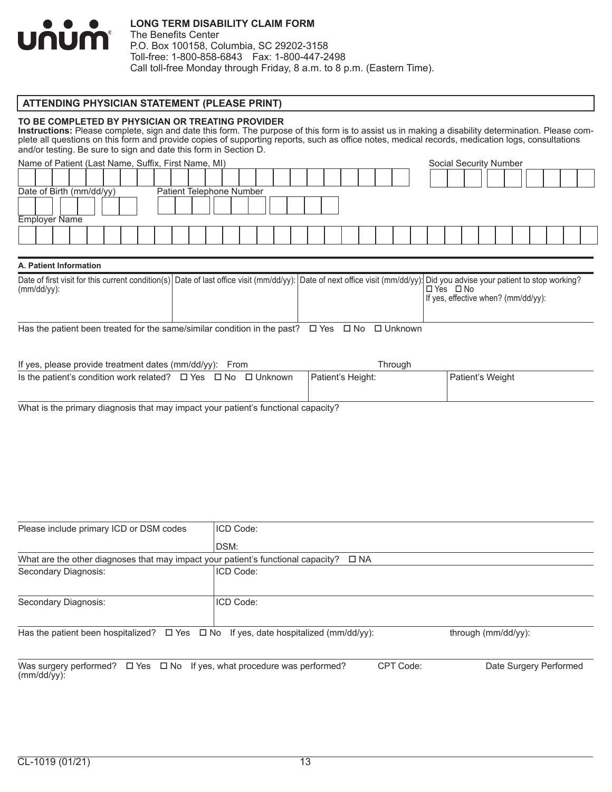

The Benefits Center P.O. Box 100158, Columbia, SC 29202-3158 Toll-free: 1-800-858-6843 Fax: 1-800-447-2498 Call toll-free Monday through Friday, 8 a.m. to 8 p.m. (Eastern Time).

### **ATTENDING PHYSICIAN STATEMENT (PLEASE PRINT)**

#### **TO BE COMPLETED BY PHYSICIAN OR TREATING PROVIDER**

**Instructions:** Please complete, sign and date this form. The purpose of this form is to assist us in making a disability determination. Please complete all questions on this form and provide copies of supporting reports, such as office notes, medical records, medication logs, consultations and/or testing. Be sure to sign and date this form in Section D.

| Name of Patient (Last Name, Suffix, First Name, MI) |  |  |  |  |  |                          |  |  |  |  |  |  |  | <b>Social Security Number</b> |  |  |  |
|-----------------------------------------------------|--|--|--|--|--|--------------------------|--|--|--|--|--|--|--|-------------------------------|--|--|--|
|                                                     |  |  |  |  |  |                          |  |  |  |  |  |  |  |                               |  |  |  |
| Date of Birth (mm/dd/yy)                            |  |  |  |  |  | Patient Telephone Number |  |  |  |  |  |  |  |                               |  |  |  |
|                                                     |  |  |  |  |  |                          |  |  |  |  |  |  |  |                               |  |  |  |
| <b>Employer Name</b>                                |  |  |  |  |  |                          |  |  |  |  |  |  |  |                               |  |  |  |
|                                                     |  |  |  |  |  |                          |  |  |  |  |  |  |  |                               |  |  |  |
|                                                     |  |  |  |  |  |                          |  |  |  |  |  |  |  |                               |  |  |  |

#### **A. Patient Information**

| $(mm/dd/yy)$ : |  | Date of first visit for this current condition(s) Date of last office visit (mm/dd/yy): Date of next office visit (mm/dd/yy): Did you advise your patient to stop working?<br>∟ No<br>□ Yes |
|----------------|--|---------------------------------------------------------------------------------------------------------------------------------------------------------------------------------------------|
|                |  |                                                                                                                                                                                             |
|                |  | If yes, effective when? (mm/dd/yy):                                                                                                                                                         |
|                |  |                                                                                                                                                                                             |
|                |  |                                                                                                                                                                                             |
|                |  |                                                                                                                                                                                             |

Has the patient been treated for the same/similar condition in the past?  $\Box$  Yes  $\Box$  No  $\Box$  Unknown

| If yes, please provide treatment dates (mm/dd/yy): From                      | Throuah           |                               |
|------------------------------------------------------------------------------|-------------------|-------------------------------|
| Is the patient's condition work related? $\Box$ Yes $\Box$ No $\Box$ Unknown | Patient's Height: | <sup>∣</sup> Patient's Weight |

What is the primary diagnosis that may impact your patient's functional capacity?

| Please include primary ICD or DSM codes                                                             | ICD Code:    |                        |  |
|-----------------------------------------------------------------------------------------------------|--------------|------------------------|--|
|                                                                                                     | DSM:         |                        |  |
| What are the other diagnoses that may impact your patient's functional capacity?                    | $\square$ NA |                        |  |
| Secondary Diagnosis:                                                                                | ICD Code:    |                        |  |
|                                                                                                     |              |                        |  |
| Secondary Diagnosis:                                                                                | ICD Code:    |                        |  |
| Has the patient been hospitalized? $\Box$ Yes $\Box$ No If yes, date hospitalized (mm/dd/yy):       |              | through (mm/dd/yy):    |  |
| Was surgery performed? $\Box$ Yes $\Box$ No If yes, what procedure was performed?<br>$(mm/dd/yy)$ : | CPT Code:    | Date Surgery Performed |  |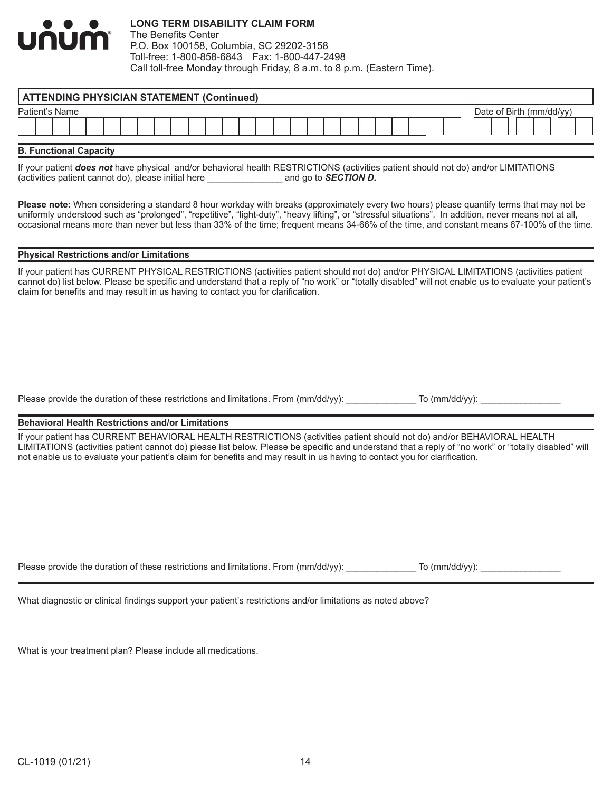| .<br><b>UNUM</b> | <b>LONG TERM DISABILITY CLAIM FORM</b><br>The Benefits Center<br>P.O. Box 100158, Columbia, SC 29202-3158 |
|------------------|-----------------------------------------------------------------------------------------------------------|
|                  | Toll-free: 1-800-858-6843    Fax: 1-800-447-2498                                                          |
|                  | Call toll-free Monday through Friday, 8 a.m. to 8 p.m. (Eastern Time).                                    |

| <b>ATTENDING PHYSICIAN STATEMENT (Continued)</b> |                          |  |  |  |
|--------------------------------------------------|--------------------------|--|--|--|
| Patient's Name                                   | Date of Birth (mm/dd/vv) |  |  |  |
|                                                  |                          |  |  |  |
| <b>B. Functional Capacity</b>                    |                          |  |  |  |

If your patient *does not* have physical and/or behavioral health RESTRICTIONS (activities patient should not do) and/or LIMITATIONS (activities patient cannot do), please initial here \_\_\_\_\_\_\_\_\_\_\_\_\_\_\_ and go to *SECTION D.*

**Please note:** When considering a standard 8 hour workday with breaks (approximately every two hours) please quantify terms that may not be uniformly understood such as "prolonged", "repetitive", "light-duty", "heavy lifting", or "stressful situations". In addition, never means not at all, occasional means more than never but less than 33% of the time; frequent means 34-66% of the time, and constant means 67-100% of the time.

#### **Physical Restrictions and/or Limitations**

If your patient has CURRENT PHYSICAL RESTRICTIONS (activities patient should not do) and/or PHYSICAL LIMITATIONS (activities patient cannot do) list below. Please be specific and understand that a reply of "no work" or "totally disabled" will not enable us to evaluate your patient's claim for benefits and may result in us having to contact you for clarification.

Please provide the duration of these restrictions and limitations. From (mm/dd/yy): \_\_\_\_\_\_\_\_\_\_\_\_\_ To (mm/dd/yy):

#### **Behavioral Health Restrictions and/or Limitations**

If your patient has CURRENT BEHAVIORAL HEALTH RESTRICTIONS (activities patient should not do) and/or BEHAVIORAL HEALTH LIMITATIONS (activities patient cannot do) please list below. Please be specific and understand that a reply of "no work" or "totally disabled" will not enable us to evaluate your patient's claim for benefits and may result in us having to contact you for clarification.

Please provide the duration of these restrictions and limitations. From (mm/dd/yy): \_\_\_\_\_\_\_\_\_\_\_\_ To (mm/dd/yy):

What diagnostic or clinical findings support your patient's restrictions and/or limitations as noted above?

What is your treatment plan? Please include all medications.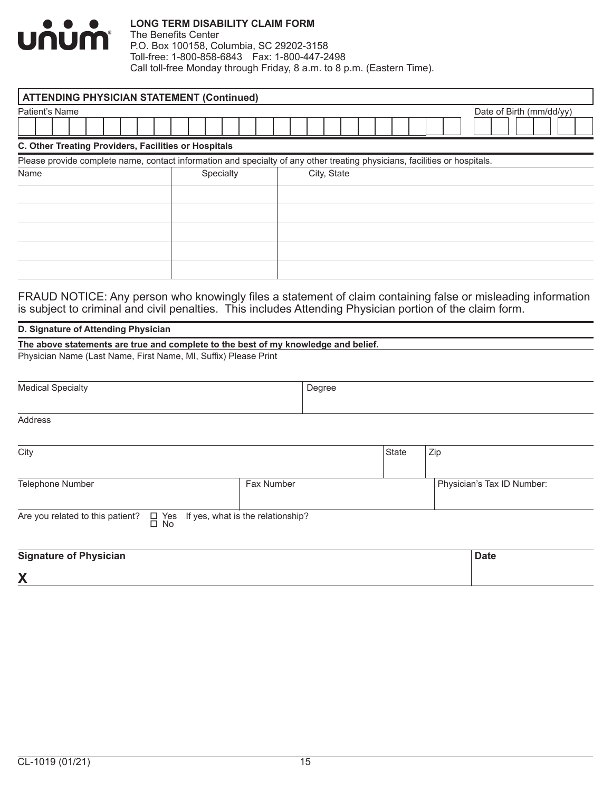

The Benefits Center P.O. Box 100158, Columbia, SC 29202-3158 Toll-free: 1-800-858-6843 Fax: 1-800-447-2498 Call toll-free Monday through Friday, 8 a.m. to 8 p.m. (Eastern Time).

| <b>ATTENDING PHYSICIAN STATEMENT (Continued)</b>     |           |                                                                                                                            |  |  |
|------------------------------------------------------|-----------|----------------------------------------------------------------------------------------------------------------------------|--|--|
| Patient's Name                                       |           | Date of Birth (mm/dd/yy)                                                                                                   |  |  |
|                                                      |           |                                                                                                                            |  |  |
| C. Other Treating Providers, Facilities or Hospitals |           |                                                                                                                            |  |  |
|                                                      |           | Please provide complete name, contact information and specialty of any other treating physicians, facilities or hospitals. |  |  |
| Name                                                 | Specialty | City, State                                                                                                                |  |  |
|                                                      |           |                                                                                                                            |  |  |
|                                                      |           |                                                                                                                            |  |  |
|                                                      |           |                                                                                                                            |  |  |
|                                                      |           |                                                                                                                            |  |  |
|                                                      |           |                                                                                                                            |  |  |
|                                                      |           |                                                                                                                            |  |  |

FRAUD NOTICE: Any person who knowingly files a statement of claim containing false or misleading information is subject to criminal and civil penalties. This includes Attending Physician portion of the claim form.

### **D. Signature of Attending Physician**

| The above statements are true and complete to the best of my knowledge and belief. |  |
|------------------------------------------------------------------------------------|--|
| Physician Name (Last Name, First Name, MI, Suffix) Please Print                    |  |

| <b>Medical Specialty</b>                                                                   |            | Degree |       |                            |
|--------------------------------------------------------------------------------------------|------------|--------|-------|----------------------------|
|                                                                                            |            |        |       |                            |
| Address                                                                                    |            |        |       |                            |
|                                                                                            |            |        |       |                            |
| City                                                                                       |            |        | State | Zip                        |
|                                                                                            |            |        |       |                            |
| Telephone Number                                                                           | Fax Number |        |       | Physician's Tax ID Number: |
|                                                                                            |            |        |       |                            |
| Are you related to this patient?<br>$\Box$ Yes If yes, what is the relationship? $\Box$ No |            |        |       |                            |
|                                                                                            |            |        |       |                            |
| <b>Signature of Physician</b>                                                              |            |        |       | <b>Date</b>                |

**X**